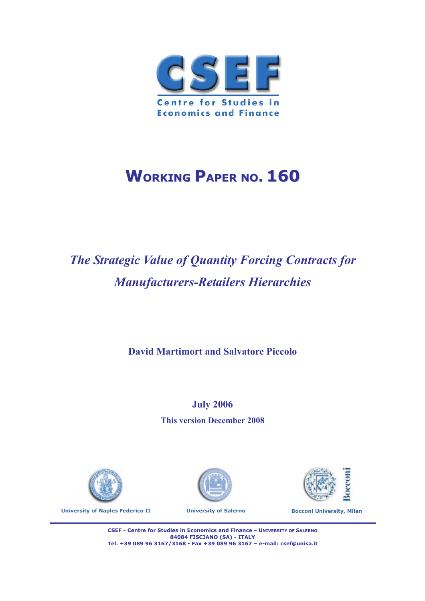

# **WORKING PAPER NO. 160**

# *The Strategic Value of Quantity Forcing Contracts for Manufacturers-Retailers Hierarchies*

**David Martimort and Salvatore Piccolo**

**July 2006 This version December 2008** 









**CSEF - Centre for Studies in Economics and Finance – UNIVERSITY OF SALERNO 84084 FISCIANO (SA) - ITALY Tel. +39 089 96 3167/3168 - Fax +39 089 96 3167 – e-mail: csef@unisa.it**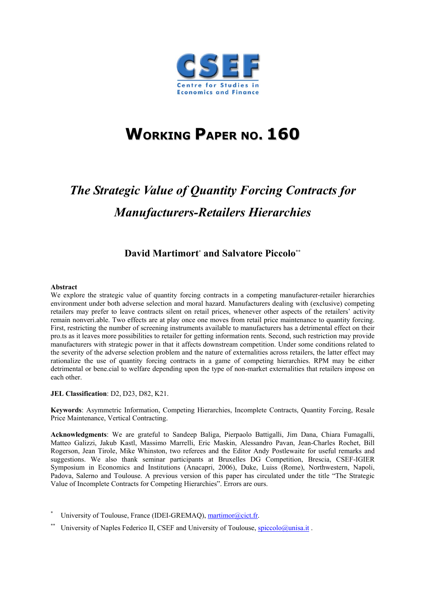

# **WORKING PAPER NO. 160**

# *The Strategic Value of Quantity Forcing Contracts for Manufacturers-Retailers Hierarchies*

#### **David Martimort\* and Salvatore Piccolo\*\***

#### **Abstract**

We explore the strategic value of quantity forcing contracts in a competing manufacturer-retailer hierarchies environment under both adverse selection and moral hazard. Manufacturers dealing with (exclusive) competing retailers may prefer to leave contracts silent on retail prices, whenever other aspects of the retailers' activity remain nonveri.able. Two effects are at play once one moves from retail price maintenance to quantity forcing. First, restricting the number of screening instruments available to manufacturers has a detrimental effect on their pro.ts as it leaves more possibilities to retailer for getting information rents. Second, such restriction may provide manufacturers with strategic power in that it affects downstream competition. Under some conditions related to the severity of the adverse selection problem and the nature of externalities across retailers, the latter effect may rationalize the use of quantity forcing contracts in a game of competing hierarchies. RPM may be either detrimental or bene.cial to welfare depending upon the type of non-market externalities that retailers impose on each other.

#### **JEL Classification**: D2, D23, D82, K21.

**Keywords**: Asymmetric Information, Competing Hierarchies, Incomplete Contracts, Quantity Forcing, Resale Price Maintenance, Vertical Contracting.

**Acknowledgments**: We are grateful to Sandeep Baliga, Pierpaolo Battigalli, Jim Dana, Chiara Fumagalli, Matteo Galizzi, Jakub Kastl, Massimo Marrelli, Eric Maskin, Alessandro Pavan, Jean-Charles Rochet, Bill Rogerson, Jean Tirole, Mike Whinston, two referees and the Editor Andy Postlewaite for useful remarks and suggestions. We also thank seminar participants at Bruxelles DG Competition, Brescia, CSEF-IGIER Symposium in Economics and Institutions (Anacapri, 2006), Duke, Luiss (Rome), Northwestern, Napoli, Padova, Salerno and Toulouse. A previous version of this paper has circulated under the title "The Strategic Value of Incomplete Contracts for Competing Hierarchies". Errors are ours.

- \* University of Toulouse, France (IDEI-GREMAQ), martimor@cict.fr.
- University of Naples Federico II, CSEF and University of Toulouse,  $spiccolo@unisa.it$ .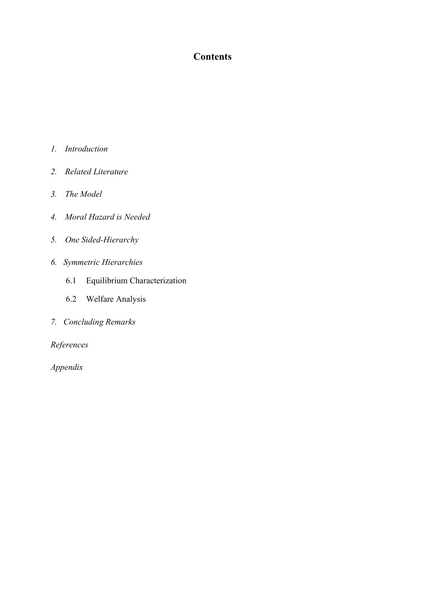## **Contents**

- *1. Introduction*
- *2. Related Literature*
- *3. The Model*
- *4. Moral Hazard is Needed*
- *5. One Sided-Hierarchy*
- *6. Symmetric Hierarchies* 
	- 6.1 Equilibrium Characterization
	- 6.2 Welfare Analysis
- *7. Concluding Remarks*

*References* 

*Appendix*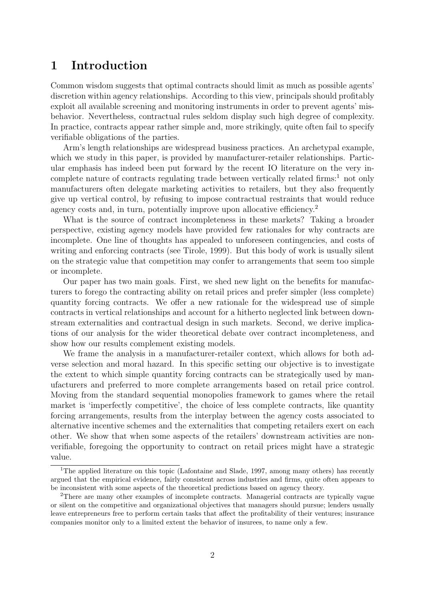### 1 Introduction

Common wisdom suggests that optimal contracts should limit as much as possible agents' discretion within agency relationships. According to this view, principals should profitably exploit all available screening and monitoring instruments in order to prevent agents' misbehavior. Nevertheless, contractual rules seldom display such high degree of complexity. In practice, contracts appear rather simple and, more strikingly, quite often fail to specify verifiable obligations of the parties.

Arm's length relationships are widespread business practices. An archetypal example, which we study in this paper, is provided by manufacturer-retailer relationships. Particular emphasis has indeed been put forward by the recent IO literature on the very incomplete nature of contracts regulating trade between vertically related firms:<sup>1</sup> not only manufacturers often delegate marketing activities to retailers, but they also frequently give up vertical control, by refusing to impose contractual restraints that would reduce agency costs and, in turn, potentially improve upon allocative efficiency.<sup>2</sup>

What is the source of contract incompleteness in these markets? Taking a broader perspective, existing agency models have provided few rationales for why contracts are incomplete. One line of thoughts has appealed to unforeseen contingencies, and costs of writing and enforcing contracts (see Tirole, 1999). But this body of work is usually silent on the strategic value that competition may confer to arrangements that seem too simple or incomplete.

Our paper has two main goals. First, we shed new light on the benefits for manufacturers to forego the contracting ability on retail prices and prefer simpler (less complete) quantity forcing contracts. We offer a new rationale for the widespread use of simple contracts in vertical relationships and account for a hitherto neglected link between downstream externalities and contractual design in such markets. Second, we derive implications of our analysis for the wider theoretical debate over contract incompleteness, and show how our results complement existing models.

We frame the analysis in a manufacturer-retailer context, which allows for both adverse selection and moral hazard. In this specific setting our objective is to investigate the extent to which simple quantity forcing contracts can be strategically used by manufacturers and preferred to more complete arrangements based on retail price control. Moving from the standard sequential monopolies framework to games where the retail market is 'imperfectly competitive', the choice of less complete contracts, like quantity forcing arrangements, results from the interplay between the agency costs associated to alternative incentive schemes and the externalities that competing retailers exert on each other. We show that when some aspects of the retailers' downstream activities are nonverifiable, foregoing the opportunity to contract on retail prices might have a strategic value.

<sup>&</sup>lt;sup>1</sup>The applied literature on this topic (Lafontaine and Slade, 1997, among many others) has recently argued that the empirical evidence, fairly consistent across industries and firms, quite often appears to be inconsistent with some aspects of the theoretical predictions based on agency theory.

<sup>2</sup>There are many other examples of incomplete contracts. Managerial contracts are typically vague or silent on the competitive and organizational objectives that managers should pursue; lenders usually leave entrepreneurs free to perform certain tasks that affect the profitability of their ventures; insurance companies monitor only to a limited extent the behavior of insurees, to name only a few.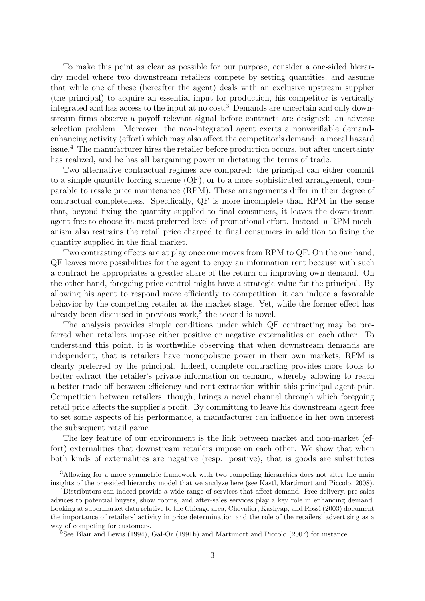To make this point as clear as possible for our purpose, consider a one-sided hierarchy model where two downstream retailers compete by setting quantities, and assume that while one of these (hereafter the agent) deals with an exclusive upstream supplier (the principal) to acquire an essential input for production, his competitor is vertically integrated and has access to the input at no cost.<sup>3</sup> Demands are uncertain and only downstream firms observe a payoff relevant signal before contracts are designed: an adverse selection problem. Moreover, the non-integrated agent exerts a nonverifiable demandenhancing activity (effort) which may also affect the competitor's demand: a moral hazard issue.<sup>4</sup> The manufacturer hires the retailer before production occurs, but after uncertainty has realized, and he has all bargaining power in dictating the terms of trade.

Two alternative contractual regimes are compared: the principal can either commit to a simple quantity forcing scheme (QF), or to a more sophisticated arrangement, comparable to resale price maintenance (RPM). These arrangements differ in their degree of contractual completeness. Specifically, QF is more incomplete than RPM in the sense that, beyond fixing the quantity supplied to final consumers, it leaves the downstream agent free to choose its most preferred level of promotional effort. Instead, a RPM mechanism also restrains the retail price charged to final consumers in addition to fixing the quantity supplied in the final market.

Two contrasting effects are at play once one moves from RPM to QF. On the one hand, QF leaves more possibilities for the agent to enjoy an information rent because with such a contract he appropriates a greater share of the return on improving own demand. On the other hand, foregoing price control might have a strategic value for the principal. By allowing his agent to respond more efficiently to competition, it can induce a favorable behavior by the competing retailer at the market stage. Yet, while the former effect has already been discussed in previous work,<sup>5</sup> the second is novel.

The analysis provides simple conditions under which QF contracting may be preferred when retailers impose either positive or negative externalities on each other. To understand this point, it is worthwhile observing that when downstream demands are independent, that is retailers have monopolistic power in their own markets, RPM is clearly preferred by the principal. Indeed, complete contracting provides more tools to better extract the retailer's private information on demand, whereby allowing to reach a better trade-off between efficiency and rent extraction within this principal-agent pair. Competition between retailers, though, brings a novel channel through which foregoing retail price affects the supplier's profit. By committing to leave his downstream agent free to set some aspects of his performance, a manufacturer can influence in her own interest the subsequent retail game.

The key feature of our environment is the link between market and non-market (effort) externalities that downstream retailers impose on each other. We show that when both kinds of externalities are negative (resp. positive), that is goods are substitutes

<sup>&</sup>lt;sup>3</sup>Allowing for a more symmetric framework with two competing hierarchies does not alter the main insights of the one-sided hierarchy model that we analyze here (see Kastl, Martimort and Piccolo, 2008).

<sup>4</sup>Distributors can indeed provide a wide range of services that affect demand. Free delivery, pre-sales advices to potential buyers, show rooms, and after-sales services play a key role in enhancing demand. Looking at supermarket data relative to the Chicago area, Chevalier, Kashyap, and Rossi (2003) document the importance of retailers' activity in price determination and the role of the retailers' advertising as a way of competing for customers.

<sup>5</sup>See Blair and Lewis (1994), Gal-Or (1991b) and Martimort and Piccolo (2007) for instance.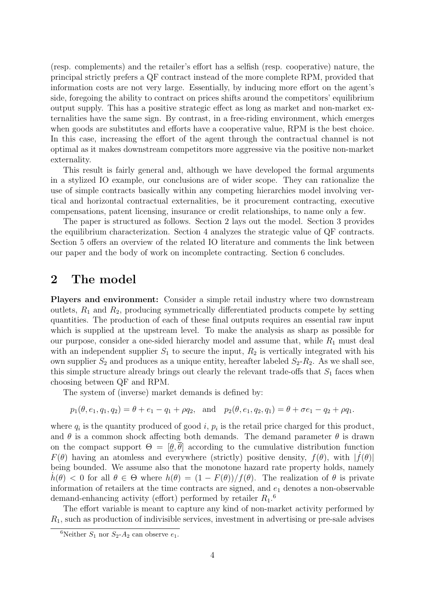(resp. complements) and the retailer's effort has a selfish (resp. cooperative) nature, the principal strictly prefers a QF contract instead of the more complete RPM, provided that information costs are not very large. Essentially, by inducing more effort on the agent's side, foregoing the ability to contract on prices shifts around the competitors' equilibrium output supply. This has a positive strategic effect as long as market and non-market externalities have the same sign. By contrast, in a free-riding environment, which emerges when goods are substitutes and efforts have a cooperative value, RPM is the best choice. In this case, increasing the effort of the agent through the contractual channel is not optimal as it makes downstream competitors more aggressive via the positive non-market externality.

This result is fairly general and, although we have developed the formal arguments in a stylized IO example, our conclusions are of wider scope. They can rationalize the use of simple contracts basically within any competing hierarchies model involving vertical and horizontal contractual externalities, be it procurement contracting, executive compensations, patent licensing, insurance or credit relationships, to name only a few.

The paper is structured as follows. Section 2 lays out the model. Section 3 provides the equilibrium characterization. Section 4 analyzes the strategic value of QF contracts. Section 5 offers an overview of the related IO literature and comments the link between our paper and the body of work on incomplete contracting. Section 6 concludes.

### 2 The model

Players and environment: Consider a simple retail industry where two downstream outlets,  $R_1$  and  $R_2$ , producing symmetrically differentiated products compete by setting quantities. The production of each of these final outputs requires an essential raw input which is supplied at the upstream level. To make the analysis as sharp as possible for our purpose, consider a one-sided hierarchy model and assume that, while  $R_1$  must deal with an independent supplier  $S_1$  to secure the input,  $R_2$  is vertically integrated with his own supplier  $S_2$  and produces as a unique entity, hereafter labeled  $S_2-R_2$ . As we shall see, this simple structure already brings out clearly the relevant trade-offs that  $S_1$  faces when choosing between QF and RPM.

The system of (inverse) market demands is defined by:

$$
p_1(\theta, e_1, q_1, q_2) = \theta + e_1 - q_1 + \rho q_2
$$
, and  $p_2(\theta, e_1, q_2, q_1) = \theta + \sigma e_1 - q_2 + \rho q_1$ .

where  $q_i$  is the quantity produced of good i,  $p_i$  is the retail price charged for this product, and  $\theta$  is a common shock affecting both demands. The demand parameter  $\theta$  is drawn on the compact support  $\Theta = [\theta, \theta]$  according to the cumulative distribution function  $F(\theta)$  having an atomless and everywhere (strictly) positive density,  $f(\theta)$ , with  $|\dot{f}(\theta)|$ being bounded. We assume also that the monotone hazard rate property holds, namely  $h(\theta) < 0$  for all  $\theta \in \Theta$  where  $h(\theta) = (1 - F(\theta))/f(\theta)$ . The realization of  $\theta$  is private information of retailers at the time contracts are signed, and  $e_1$  denotes a non-observable demand-enhancing activity (effort) performed by retailer  $R_1$ <sup>6</sup>

The effort variable is meant to capture any kind of non-market activity performed by  $R_1$ , such as production of indivisible services, investment in advertising or pre-sale advises

<sup>&</sup>lt;sup>6</sup>Neither  $S_1$  nor  $S_2$ - $A_2$  can observe  $e_1$ .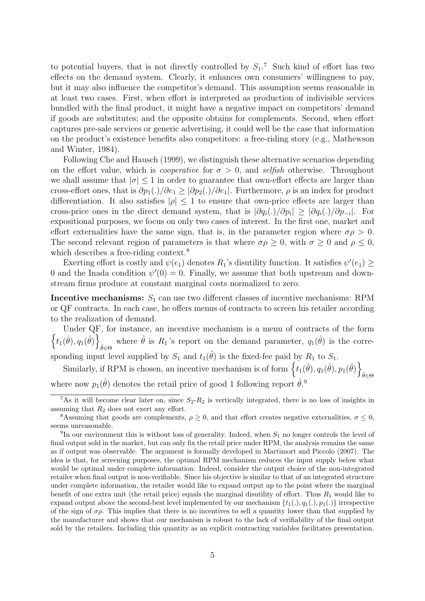to potential buyers, that is not directly controlled by  $S_1$ .<sup>7</sup> Such kind of effort has two effects on the demand system. Clearly, it enhances own consumers' willingness to pay, but it may also influence the competitor's demand. This assumption seems reasonable in at least two cases. First, when effort is interpreted as production of indivisible services bundled with the final product, it might have a negative impact on competitors' demand if goods are substitutes; and the opposite obtains for complements. Second, when effort captures pre-sale services or generic advertising, it could well be the case that information on the product's existence benefits also competitors: a free-riding story (e.g., Mathewson and Winter, 1984).

Following Che and Hausch (1999), we distinguish these alternative scenarios depending on the effort value, which is *cooperative* for  $\sigma > 0$ , and selfish otherwise. Throughout we shall assume that  $|\sigma| \leq 1$  in order to guarantee that own-effort effects are larger than cross-effort ones, that is  $\partial p_1(.)/\partial e_1 \geq |\partial p_2(.)/\partial e_1|$ . Furthermore,  $\rho$  is an index for product differentiation. It also satisfies  $|\rho| \leq 1$  to ensure that own-price effects are larger than cross-price ones in the direct demand system, that is  $|\partial q_i(.)/\partial p_i| \geq |\partial q_i(.)/\partial p_{-i}|$ . For expositional purposes, we focus on only two cases of interest. In the first one, market and effort externalities have the same sign, that is, in the parameter region where  $\sigma \rho > 0$ . The second relevant region of parameters is that where  $\sigma \rho \geq 0$ , with  $\sigma \geq 0$  and  $\rho \leq 0$ , which describes a free-riding context.<sup>8</sup>

Exerting effort is costly and  $\psi(e_1)$  denotes  $R_1$ 's disutility function. It satisfies  $\psi'(e_1) \ge$ 0 and the Inada condition  $\psi'(0) = 0$ . Finally, we assume that both upstream and downstream firms produce at constant marginal costs normalized to zero.

**Incentive mechanisms:**  $S_1$  can use two different classes of incentive mechanisms: RPM or QF contracts. In each case, he offers menus of contracts to screen his retailer according to the realization of demand.

 $\left\{t_1(\hat{\theta}), q_1(\hat{\theta})\right\}$ Under QF, for instance, an incentive mechanism is a menu of contracts of the form where  $\hat{\theta}$  is  $R_1$ 's report on the demand parameter,  $q_1(\hat{\theta})$  is the corresponding input level supplied by  $S_1$  and  $t_1(\hat{\theta})$  is the fixed-fee paid by  $R_1$  to  $S_1$ .

Similarly, if RPM is chosen, an incentive mechanism is of form  $\{t_1(\hat{\theta}), q_1(\hat{\theta}), p_1(\hat{\theta})\}$  $\hat{\theta} \in \Theta$ where now  $p_1(\hat{\theta})$  denotes the retail price of good 1 following report  $\hat{\theta}$ .<sup>9</sup>

<sup>&</sup>lt;sup>7</sup>As it will become clear later on, since  $S_2-R_2$  is vertically integrated, there is no loss of insights in assuming that  $R_2$  does not exert any effort.

<sup>&</sup>lt;sup>8</sup>Assuming that goods are complements,  $\rho \geq 0$ , and that effort creates negative externalities,  $\sigma \leq 0$ , seems unreasonable.

<sup>&</sup>lt;sup>9</sup>In our environment this is without loss of generality. Indeed, when  $S_1$  no longer controls the level of final output sold in the market, but can only fix the retail price under RPM, the analysis remains the same as if output was observable. The argument is formally developed in Martimort and Piccolo (2007). The idea is that, for screening purposes, the optimal RPM mechanism reduces the input supply below what would be optimal under complete information. Indeed, consider the output choice of the non-integrated retailer when final output is non-verifiable. Since his objective is similar to that of an integrated structure under complete information, the retailer would like to expand output up to the point where the marginal benefit of one extra unit (the retail price) equals the marginal disutility of effort. Thus  $R_1$  would like to expand output above the second-best level implemented by our mechanism  $\{t_1(.), q_1(.), p_1(.)\}$  irrespective of the sign of  $\sigma \rho$ . This implies that there is no incentives to sell a quantity lower than that supplied by the manufacturer and shows that our mechanism is robust to the lack of verifiability of the final output sold by the retailers. Including this quantity as an explicit contracting variables facilitates presentation.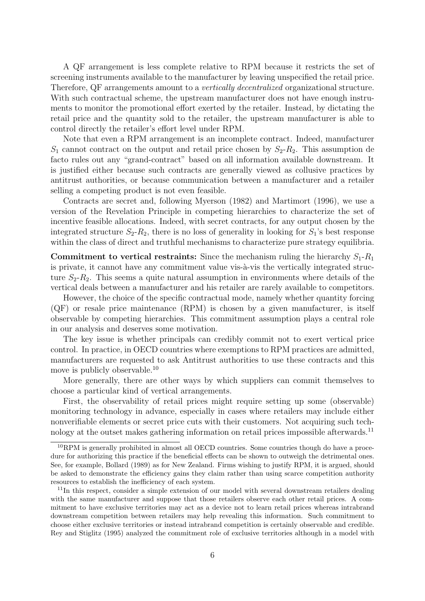A QF arrangement is less complete relative to RPM because it restricts the set of screening instruments available to the manufacturer by leaving unspecified the retail price. Therefore, QF arrangements amount to a *vertically decentralized* organizational structure. With such contractual scheme, the upstream manufacturer does not have enough instruments to monitor the promotional effort exerted by the retailer. Instead, by dictating the retail price and the quantity sold to the retailer, the upstream manufacturer is able to control directly the retailer's effort level under RPM.

Note that even a RPM arrangement is an incomplete contract. Indeed, manufacturer  $S_1$  cannot contract on the output and retail price chosen by  $S_2-R_2$ . This assumption de facto rules out any "grand-contract" based on all information available downstream. It is justified either because such contracts are generally viewed as collusive practices by antitrust authorities, or because communication between a manufacturer and a retailer selling a competing product is not even feasible.

Contracts are secret and, following Myerson (1982) and Martimort (1996), we use a version of the Revelation Principle in competing hierarchies to characterize the set of incentive feasible allocations. Indeed, with secret contracts, for any output chosen by the integrated structure  $S_2-R_2$ , there is no loss of generality in looking for  $S_1$ 's best response within the class of direct and truthful mechanisms to characterize pure strategy equilibria.

**Commitment to vertical restraints:** Since the mechanism ruling the hierarchy  $S_1$ - $R_1$ is private, it cannot have any commitment value vis- $\lambda$ -vis the vertically integrated structure  $S_2-R_2$ . This seems a quite natural assumption in environments where details of the vertical deals between a manufacturer and his retailer are rarely available to competitors.

However, the choice of the specific contractual mode, namely whether quantity forcing (QF) or resale price maintenance (RPM) is chosen by a given manufacturer, is itself observable by competing hierarchies. This commitment assumption plays a central role in our analysis and deserves some motivation.

The key issue is whether principals can credibly commit not to exert vertical price control. In practice, in OECD countries where exemptions to RPM practices are admitted, manufacturers are requested to ask Antitrust authorities to use these contracts and this move is publicly observable.<sup>10</sup>

More generally, there are other ways by which suppliers can commit themselves to choose a particular kind of vertical arrangements.

First, the observability of retail prices might require setting up some (observable) monitoring technology in advance, especially in cases where retailers may include either nonverifiable elements or secret price cuts with their customers. Not acquiring such technology at the outset makes gathering information on retail prices impossible afterwards.<sup>11</sup>

<sup>&</sup>lt;sup>10</sup>RPM is generally prohibited in almost all OECD countries. Some countries though do have a procedure for authorizing this practice if the beneficial effects can be shown to outweigh the detrimental ones. See, for example, Bollard (1989) as for New Zealand. Firms wishing to justify RPM, it is argued, should be asked to demonstrate the efficiency gains they claim rather than using scarce competition authority resources to establish the inefficiency of each system.

<sup>&</sup>lt;sup>11</sup>In this respect, consider a simple extension of our model with several downstream retailers dealing with the same manufacturer and suppose that those retailers observe each other retail prices. A commitment to have exclusive territories may act as a device not to learn retail prices whereas intrabrand downstream competition between retailers may help revealing this information. Such commitment to choose either exclusive territories or instead intrabrand competition is certainly observable and credible. Rey and Stiglitz (1995) analyzed the commitment role of exclusive territories although in a model with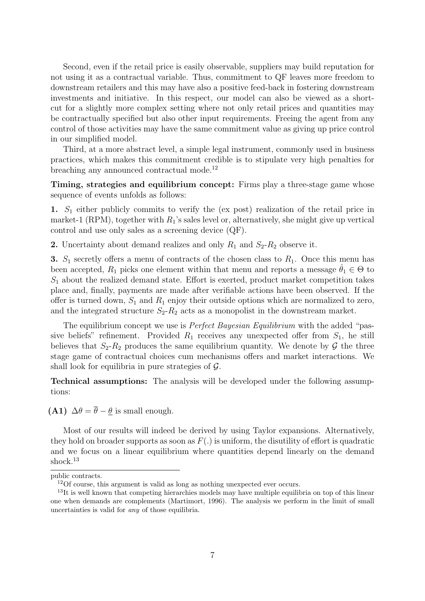Second, even if the retail price is easily observable, suppliers may build reputation for not using it as a contractual variable. Thus, commitment to QF leaves more freedom to downstream retailers and this may have also a positive feed-back in fostering downstream investments and initiative. In this respect, our model can also be viewed as a shortcut for a slightly more complex setting where not only retail prices and quantities may be contractually specified but also other input requirements. Freeing the agent from any control of those activities may have the same commitment value as giving up price control in our simplified model.

Third, at a more abstract level, a simple legal instrument, commonly used in business practices, which makes this commitment credible is to stipulate very high penalties for breaching any announced contractual mode.<sup>12</sup>

Timing, strategies and equilibrium concept: Firms play a three-stage game whose sequence of events unfolds as follows:

1.  $S_1$  either publicly commits to verify the (ex post) realization of the retail price in market-1 (RPM), together with  $R_1$ 's sales level or, alternatively, she might give up vertical control and use only sales as a screening device (QF).

2. Uncertainty about demand realizes and only  $R_1$  and  $S_2-R_2$  observe it.

3.  $S_1$  secretly offers a menu of contracts of the chosen class to  $R_1$ . Once this menu has been accepted,  $R_1$  picks one element within that menu and reports a message  $\hat{\theta}_1 \in \Theta$  to  $S_1$  about the realized demand state. Effort is exerted, product market competition takes place and, finally, payments are made after verifiable actions have been observed. If the offer is turned down,  $S_1$  and  $R_1$  enjoy their outside options which are normalized to zero, and the integrated structure  $S_2 - R_2$  acts as a monopolist in the downstream market.

The equilibrium concept we use is *Perfect Bayesian Equilibrium* with the added "passive beliefs" refinement. Provided  $R_1$  receives any unexpected offer from  $S_1$ , he still believes that  $S_2-R_2$  produces the same equilibrium quantity. We denote by  $\mathcal G$  the three stage game of contractual choices cum mechanisms offers and market interactions. We shall look for equilibria in pure strategies of  $\mathcal{G}$ .

Technical assumptions: The analysis will be developed under the following assumptions:

(A1)  $\Delta \theta = \overline{\theta} - \theta$  is small enough.

Most of our results will indeed be derived by using Taylor expansions. Alternatively, they hold on broader supports as soon as  $F(.)$  is uniform, the disutility of effort is quadratic and we focus on a linear equilibrium where quantities depend linearly on the demand shock.<sup>13</sup>

public contracts.

<sup>12</sup>Of course, this argument is valid as long as nothing unexpected ever occurs.

<sup>&</sup>lt;sup>13</sup>It is well known that competing hierarchies models may have multiple equilibria on top of this linear one when demands are complements (Martimort, 1996). The analysis we perform in the limit of small uncertainties is valid for any of those equilibria.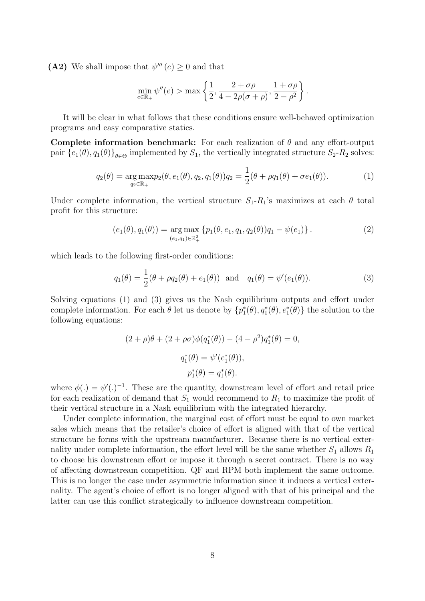(A2) We shall impose that  $\psi'''(e) \geq 0$  and that

$$
\min_{e \in \mathbb{R}_+} \psi''(e) > \max \left\{ \frac{1}{2}, \frac{2+\sigma\rho}{4-2\rho(\sigma+\rho)}, \frac{1+\sigma\rho}{2-\rho^2} \right\}.
$$

It will be clear in what follows that these conditions ensure well-behaved optimization programs and easy comparative statics.

Complete information benchmark: For each realization of  $\theta$  and any effort-output pair  $\{e_1(\theta), q_1(\theta)\}_{\theta \in \Theta}$  implemented by  $S_1$ , the vertically integrated structure  $S_2$ - $R_2$  solves:

$$
q_2(\theta) = \underset{q_2 \in \mathbb{R}_+}{\arg \max} p_2(\theta, e_1(\theta), q_2, q_1(\theta)) q_2 = \frac{1}{2} (\theta + \rho q_1(\theta) + \sigma e_1(\theta)). \tag{1}
$$

Under complete information, the vertical structure  $S_1 - R_1$ 's maximizes at each  $\theta$  total profit for this structure:

$$
(e_1(\theta), q_1(\theta)) = \underset{(e_1, q_1) \in \mathbb{R}_+^2}{\arg \max} \{ p_1(\theta, e_1, q_1, q_2(\theta)) q_1 - \psi(e_1) \}.
$$
 (2)

which leads to the following first-order conditions:

$$
q_1(\theta) = \frac{1}{2}(\theta + \rho q_2(\theta) + e_1(\theta))
$$
 and  $q_1(\theta) = \psi'(e_1(\theta)).$  (3)

Solving equations (1) and (3) gives us the Nash equilibrium outputs and effort under complete information. For each  $\theta$  let us denote by  $\{p_1^*(\theta), q_1^*(\theta), e_1^*(\theta)\}\)$  the solution to the following equations:

$$
(2 + \rho)\theta + (2 + \rho\sigma)\phi(q_1^*(\theta)) - (4 - \rho^2)q_1^*(\theta) = 0,
$$
  

$$
q_1^*(\theta) = \psi'(e_1^*(\theta)),
$$
  

$$
p_1^*(\theta) = q_1^*(\theta).
$$

where  $\phi(.) = \psi(.)^{-1}$ . These are the quantity, downstream level of effort and retail price for each realization of demand that  $S_1$  would recommend to  $R_1$  to maximize the profit of their vertical structure in a Nash equilibrium with the integrated hierarchy.

Under complete information, the marginal cost of effort must be equal to own market sales which means that the retailer's choice of effort is aligned with that of the vertical structure he forms with the upstream manufacturer. Because there is no vertical externality under complete information, the effort level will be the same whether  $S_1$  allows  $R_1$ to choose his downstream effort or impose it through a secret contract. There is no way of affecting downstream competition. QF and RPM both implement the same outcome. This is no longer the case under asymmetric information since it induces a vertical externality. The agent's choice of effort is no longer aligned with that of his principal and the latter can use this conflict strategically to influence downstream competition.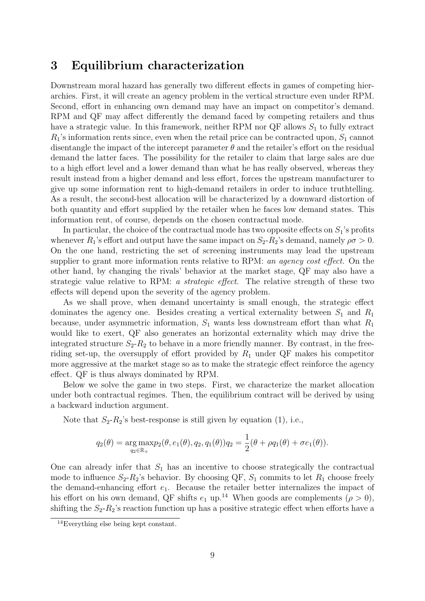#### 3 Equilibrium characterization

Downstream moral hazard has generally two different effects in games of competing hierarchies. First, it will create an agency problem in the vertical structure even under RPM. Second, effort in enhancing own demand may have an impact on competitor's demand. RPM and QF may affect differently the demand faced by competing retailers and thus have a strategic value. In this framework, neither RPM nor  $\mathbb{Q}F$  allows  $S_1$  to fully extract  $R_1$ 's information rents since, even when the retail price can be contracted upon,  $S_1$  cannot disentangle the impact of the intercept parameter  $\theta$  and the retailer's effort on the residual demand the latter faces. The possibility for the retailer to claim that large sales are due to a high effort level and a lower demand than what he has really observed, whereas they result instead from a higher demand and less effort, forces the upstream manufacturer to give up some information rent to high-demand retailers in order to induce truthtelling. As a result, the second-best allocation will be characterized by a downward distortion of both quantity and effort supplied by the retailer when he faces low demand states. This information rent, of course, depends on the chosen contractual mode.

In particular, the choice of the contractual mode has two opposite effects on  $S_1$ 's profits whenever  $R_1$ 's effort and output have the same impact on  $S_2-R_2$ 's demand, namely  $\rho\sigma>0$ . On the one hand, restricting the set of screening instruments may lead the upstream supplier to grant more information rents relative to RPM: an agency cost effect. On the other hand, by changing the rivals' behavior at the market stage, QF may also have a strategic value relative to RPM: a strategic effect. The relative strength of these two effects will depend upon the severity of the agency problem.

As we shall prove, when demand uncertainty is small enough, the strategic effect dominates the agency one. Besides creating a vertical externality between  $S_1$  and  $R_1$ because, under asymmetric information,  $S_1$  wants less downstream effort than what  $R_1$ would like to exert, QF also generates an horizontal externality which may drive the integrated structure  $S_2-R_2$  to behave in a more friendly manner. By contrast, in the freeriding set-up, the oversupply of effort provided by  $R_1$  under QF makes his competitor more aggressive at the market stage so as to make the strategic effect reinforce the agency effect. QF is thus always dominated by RPM.

Below we solve the game in two steps. First, we characterize the market allocation under both contractual regimes. Then, the equilibrium contract will be derived by using a backward induction argument.

Note that  $S_2-R_2$ 's best-response is still given by equation (1), i.e.,

$$
q_2(\theta) = \underset{q_2 \in \mathbb{R}_+}{\arg \max} p_2(\theta, e_1(\theta), q_2, q_1(\theta)) q_2 = \frac{1}{2}(\theta + \rho q_1(\theta) + \sigma e_1(\theta)).
$$

One can already infer that  $S_1$  has an incentive to choose strategically the contractual mode to influence  $S_2-R_2$ 's behavior. By choosing QF,  $S_1$  commits to let  $R_1$  choose freely the demand-enhancing effort  $e_1$ . Because the retailer better internalizes the impact of his effort on his own demand, QF shifts  $e_1$  up.<sup>14</sup> When goods are complements ( $\rho > 0$ ), shifting the  $S_2-R_2$ 's reaction function up has a positive strategic effect when efforts have a

<sup>14</sup>Everything else being kept constant.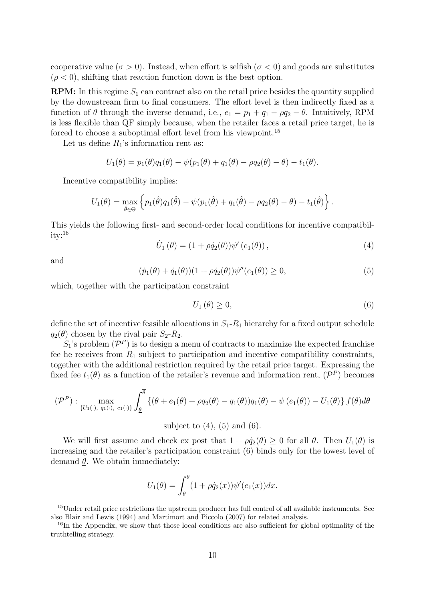cooperative value ( $\sigma > 0$ ). Instead, when effort is selfish ( $\sigma < 0$ ) and goods are substitutes  $(\rho < 0)$ , shifting that reaction function down is the best option.

**RPM:** In this regime  $S_1$  can contract also on the retail price besides the quantity supplied by the downstream firm to final consumers. The effort level is then indirectly fixed as a function of  $\theta$  through the inverse demand, i.e.,  $e_1 = p_1 + q_1 - \rho q_2 - \theta$ . Intuitively, RPM is less flexible than QF simply because, when the retailer faces a retail price target, he is forced to choose a suboptimal effort level from his viewpoint.<sup>15</sup>

Let us define  $R_1$ 's information rent as:

$$
U_1(\theta) = p_1(\theta)q_1(\theta) - \psi(p_1(\theta) + q_1(\theta) - \rho q_2(\theta) - \theta) - t_1(\theta).
$$

Incentive compatibility implies:

$$
U_1(\theta) = \max_{\hat{\theta} \in \Theta} \left\{ p_1(\hat{\theta}) q_1(\hat{\theta}) - \psi(p_1(\hat{\theta}) + q_1(\hat{\theta}) - \rho q_2(\theta) - \theta) - t_1(\hat{\theta}) \right\}.
$$

This yields the following first- and second-order local conditions for incentive compatibility:<sup>16</sup>

$$
\dot{U}_1(\theta) = (1 + \rho \dot{q}_2(\theta)) \psi'(e_1(\theta)), \qquad (4)
$$

and

$$
(\dot{p}_1(\theta) + \dot{q}_1(\theta))(1 + \rho \dot{q}_2(\theta))\psi''(e_1(\theta)) \ge 0,
$$
\n(5)

which, together with the participation constraint

$$
U_1(\theta) \ge 0,\tag{6}
$$

define the set of incentive feasible allocations in  $S_1$ - $R_1$  hierarchy for a fixed output schedule  $q_2(\theta)$  chosen by the rival pair  $S_2-R_2$ .

 $S_1$ 's problem  $(\mathcal{P}^P)$  is to design a menu of contracts to maximize the expected franchise fee he receives from  $R_1$  subject to participation and incentive compatibility constraints, together with the additional restriction required by the retail price target. Expressing the fixed fee  $t_1(\theta)$  as a function of the retailer's revenue and information rent,  $(\mathcal{P}^P)$  becomes

$$
(\mathcal{P}^P): \max_{\{U_1(\cdot), q_1(\cdot), e_1(\cdot)\}} \int_{\underline{\theta}}^{\overline{\theta}} \left\{ (\theta + e_1(\theta) + \rho q_2(\theta) - q_1(\theta)) q_1(\theta) - \psi(e_1(\theta)) - U_1(\theta) \right\} f(\theta) d\theta
$$

subject to  $(4)$ ,  $(5)$  and  $(6)$ .

We will first assume and check ex post that  $1 + \rho \dot{q}_2(\theta) \geq 0$  for all  $\theta$ . Then  $U_1(\theta)$  is increasing and the retailer's participation constraint (6) binds only for the lowest level of demand  $\theta$ . We obtain immediately:

$$
U_1(\theta) = \int_{\underline{\theta}}^{\theta} (1 + \rho \dot{q}_2(x)) \psi'(e_1(x)) dx.
$$

<sup>&</sup>lt;sup>15</sup>Under retail price restrictions the upstream producer has full control of all available instruments. See also Blair and Lewis (1994) and Martimort and Piccolo (2007) for related analysis.

<sup>&</sup>lt;sup>16</sup>In the Appendix, we show that those local conditions are also sufficient for global optimality of the truthtelling strategy.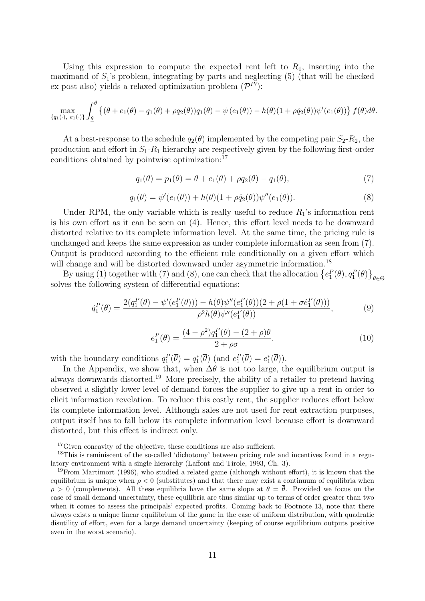Using this expression to compute the expected rent left to  $R_1$ , inserting into the maximand of  $S_1$ 's problem, integrating by parts and neglecting (5) (that will be checked ex post also) yields a relaxed optimization problem  $(\mathcal{P}^{P'})$ :

$$
\max_{\{q_1(\cdot), e_1(\cdot)\}} \int_{\underline{\theta}}^{\overline{\theta}} \left\{ (\theta + e_1(\theta) - q_1(\theta) + \rho q_2(\theta)) q_1(\theta) - \psi(e_1(\theta)) - h(\theta)(1 + \rho \dot{q}_2(\theta)) \psi'(e_1(\theta)) \right\} f(\theta) d\theta.
$$

At a best-response to the schedule  $q_2(\theta)$  implemented by the competing pair  $S_2-R_2$ , the production and effort in  $S_1 - R_1$  hierarchy are respectively given by the following first-order conditions obtained by pointwise optimization:<sup>17</sup>

$$
q_1(\theta) = p_1(\theta) = \theta + e_1(\theta) + \rho q_2(\theta) - q_1(\theta),
$$
\n(7)

$$
q_1(\theta) = \psi'(e_1(\theta)) + h(\theta)(1 + \rho \dot{q}_2(\theta))\psi''(e_1(\theta)).
$$
\n(8)

Under RPM, the only variable which is really useful to reduce  $R_1$ 's information rent is his own effort as it can be seen on (4). Hence, this effort level needs to be downward distorted relative to its complete information level. At the same time, the pricing rule is unchanged and keeps the same expression as under complete information as seen from (7). Output is produced according to the efficient rule conditionally on a given effort which will change and will be distorted downward under asymmetric information.<sup>18</sup>

By using (1) together with (7) and (8), one can check that the allocation  $\{e_1^P(\theta), q_1^P(\theta)\}_{\theta \in \Theta}$ solves the following system of differential equations:

$$
\dot{q}_1^P(\theta) = \frac{2(q_1^P(\theta) - \psi'(e_1^P(\theta))) - h(\theta)\psi''(e_1^P(\theta))(2 + \rho(1 + \sigma\dot{e}_1^P(\theta)))}{\rho^2 h(\theta)\psi''(e_1^P(\theta))},
$$
(9)

$$
e_1^P(\theta) = \frac{(4 - \rho^2)q_1^P(\theta) - (2 + \rho)\theta}{2 + \rho\sigma},
$$
\n(10)

with the boundary conditions  $q_1^P(\overline{\theta}) = q_1^*(\overline{\theta})$  (and  $e_1^P(\overline{\theta}) = e_1^*(\overline{\theta})$ ).

In the Appendix, we show that, when  $\Delta\theta$  is not too large, the equilibrium output is always downwards distorted.<sup>19</sup> More precisely, the ability of a retailer to pretend having observed a slightly lower level of demand forces the supplier to give up a rent in order to elicit information revelation. To reduce this costly rent, the supplier reduces effort below its complete information level. Although sales are not used for rent extraction purposes, output itself has to fall below its complete information level because effort is downward distorted, but this effect is indirect only.

<sup>&</sup>lt;sup>17</sup>Given concavity of the objective, these conditions are also sufficient.

<sup>18</sup>This is reminiscent of the so-called 'dichotomy' between pricing rule and incentives found in a regulatory environment with a single hierarchy (Laffont and Tirole, 1993, Ch. 3).

<sup>&</sup>lt;sup>19</sup>From Martimort (1996), who studied a related game (although without effort), it is known that the equilibrium is unique when  $\rho < 0$  (substitutes) and that there may exist a continuum of equilibria when  $\rho > 0$  (complements). All these equilibria have the same slope at  $\theta = \overline{\theta}$ . Provided we focus on the case of small demand uncertainty, these equilibria are thus similar up to terms of order greater than two when it comes to assess the principals' expected profits. Coming back to Footnote 13, note that there always exists a unique linear equilibrium of the game in the case of uniform distribution, with quadratic disutility of effort, even for a large demand uncertainty (keeping of course equilibrium outputs positive even in the worst scenario).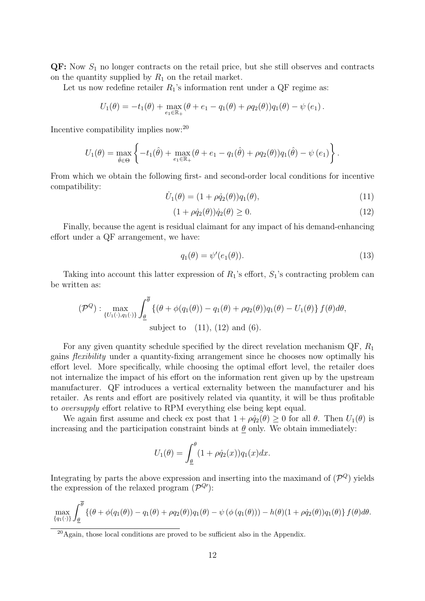$\mathbf{Q}$ F: Now  $S_1$  no longer contracts on the retail price, but she still observes and contracts on the quantity supplied by  $R_1$  on the retail market.

Let us now redefine retailer  $R_1$ 's information rent under a QF regime as:

$$
U_1(\theta) = -t_1(\theta) + \max_{e_1 \in \mathbb{R}_+} (\theta + e_1 - q_1(\theta) + \rho q_2(\theta)) q_1(\theta) - \psi(e_1).
$$

Incentive compatibility implies now:<sup>20</sup>

$$
U_1(\theta) = \max_{\hat{\theta} \in \Theta} \left\{ -t_1(\hat{\theta}) + \max_{e_1 \in \mathbb{R}_+} (\theta + e_1 - q_1(\hat{\theta}) + \rho q_2(\theta)) q_1(\hat{\theta}) - \psi(e_1) \right\}.
$$

From which we obtain the following first- and second-order local conditions for incentive compatibility:

$$
\dot{U}_1(\theta) = (1 + \rho \dot{q}_2(\theta)) q_1(\theta), \qquad (11)
$$

$$
(1 + \rho \dot{q}_2(\theta))\dot{q}_2(\theta) \ge 0. \tag{12}
$$

Finally, because the agent is residual claimant for any impact of his demand-enhancing effort under a QF arrangement, we have:

$$
q_1(\theta) = \psi'(e_1(\theta)).
$$
\n(13)

Taking into account this latter expression of  $R_1$ 's effort,  $S_1$ 's contracting problem can be written as:

$$
(\mathcal{P}^Q): \max_{\{U_1(\cdot), q_1(\cdot)\}} \int_{\underline{\theta}}^{\overline{\theta}} \left\{ (\theta + \phi(q_1(\theta)) - q_1(\theta) + \rho q_2(\theta)) q_1(\theta) - U_1(\theta) \right\} f(\theta) d\theta,
$$
  
subject to (11), (12) and (6).

For any given quantity schedule specified by the direct revelation mechanism  $\mathbb{Q}F$ ,  $R_1$ gains flexibility under a quantity-fixing arrangement since he chooses now optimally his effort level. More specifically, while choosing the optimal effort level, the retailer does not internalize the impact of his effort on the information rent given up by the upstream manufacturer. QF introduces a vertical externality between the manufacturer and his retailer. As rents and effort are positively related via quantity, it will be thus profitable to oversupply effort relative to RPM everything else being kept equal.

We again first assume and check ex post that  $1 + \rho \dot{q}_2(\theta) \geq 0$  for all  $\theta$ . Then  $U_1(\theta)$  is increasing and the participation constraint binds at  $\theta$  only. We obtain immediately:

$$
U_1(\theta) = \int_{\underline{\theta}}^{\theta} (1 + \rho \dot{q}_2(x)) q_1(x) dx.
$$

Integrating by parts the above expression and inserting into the maximand of  $(\mathcal{P}^Q)$  yields the expression of the relaxed program  $(\mathcal{P}^{Q})$ :

$$
\max_{\{q_1(\cdot)\}} \int_{\underline{\theta}}^{\overline{\theta}} \left\{ (\theta + \phi(q_1(\theta)) - q_1(\theta) + \rho q_2(\theta)) q_1(\theta) - \psi(\phi(q_1(\theta))) - h(\theta)(1 + \rho \dot{q}_2(\theta)) q_1(\theta) \right\} f(\theta) d\theta.
$$

<sup>20</sup>Again, those local conditions are proved to be sufficient also in the Appendix.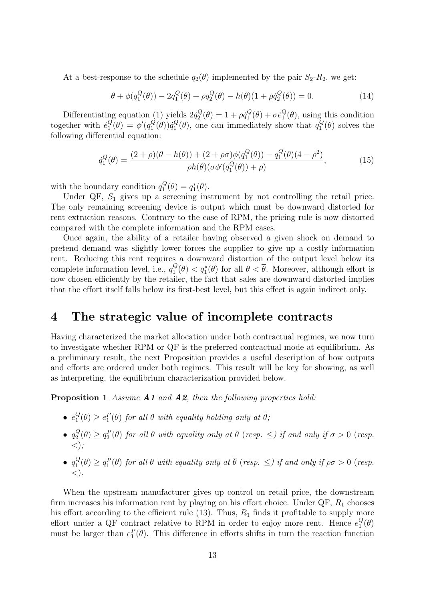At a best-response to the schedule  $q_2(\theta)$  implemented by the pair  $S_2-R_2$ , we get:

$$
\theta + \phi(q_1^Q(\theta)) - 2q_1^Q(\theta) + \rho q_2^Q(\theta) - h(\theta)(1 + \rho \dot{q}_2^Q(\theta)) = 0.
$$
 (14)

Differentiating equation (1) yields  $2\dot{q}_2^Q$  $p_2^Q(\theta) = 1 + \rho \dot{q}_1^Q$  $g^Q_1(\theta)+\sigma \dot{e}^Q_1$  $_1^Q(\theta)$ , using this condition together with  $\dot{e}_1^Q$  $\frac{Q}{1}(\theta) = \phi'(q_1^Q)$  $q_{1}^{Q}(\theta))\dot{q}_{1}^{Q}$  $_1^Q(\theta)$ , one can immediately show that  $q_1^Q$  $C_1^Q(\theta)$  solves the following differential equation:

$$
\dot{q}_1^Q(\theta) = \frac{(2+\rho)(\theta - h(\theta)) + (2+\rho\sigma)\phi(q_1^Q(\theta)) - q_1^Q(\theta)(4-\rho^2)}{\rho h(\theta)(\sigma\phi'(q_1^Q(\theta)) + \rho)},
$$
\n(15)

with the boundary condition  $q_1^Q$  $q_1^Q(\overline{\theta})=q_1^*(\overline{\theta}).$ 

Under QF,  $S_1$  gives up a screening instrument by not controlling the retail price. The only remaining screening device is output which must be downward distorted for rent extraction reasons. Contrary to the case of RPM, the pricing rule is now distorted compared with the complete information and the RPM cases.

Once again, the ability of a retailer having observed a given shock on demand to pretend demand was slightly lower forces the supplier to give up a costly information rent. Reducing this rent requires a downward distortion of the output level below its complete information level, i.e.,  $q_1^Q$  $\frac{Q}{1}(\theta) < q_1^*(\theta)$  for all  $\theta < \overline{\theta}$ . Moreover, although effort is now chosen efficiently by the retailer, the fact that sales are downward distorted implies that the effort itself falls below its first-best level, but this effect is again indirect only.

### 4 The strategic value of incomplete contracts

Having characterized the market allocation under both contractual regimes, we now turn to investigate whether RPM or QF is the preferred contractual mode at equilibrium. As a preliminary result, the next Proposition provides a useful description of how outputs and efforts are ordered under both regimes. This result will be key for showing, as well as interpreting, the equilibrium characterization provided below.

Proposition 1 Assume A1 and A2, then the following properties hold:

- $\bullet$   $e_1^Q$  $\mathcal{L}_1^Q(\theta) \geq e_1^P(\theta)$  for all  $\theta$  with equality holding only at  $\overline{\theta}$ ;
- $\bullet\ q_2^Q$  $Q_2^Q(\theta) \geq q_2^P(\theta)$  for all  $\theta$  with equality only at  $\overline{\theta}$  (resp.  $\leq$ ) if and only if  $\sigma > 0$  (resp.  $\langle \rangle$ ;
- $\bullet$   $q_1^Q$  $\mathcal{L}_1^Q(\theta) \geq q_1^P(\theta)$  for all  $\theta$  with equality only at  $\overline{\theta}$  (resp.  $\leq$ ) if and only if  $\rho\sigma > 0$  (resp.  $\langle$ ).

When the upstream manufacturer gives up control on retail price, the downstream firm increases his information rent by playing on his effort choice. Under  $\mathbb{Q}F$ ,  $R_1$  chooses his effort according to the efficient rule  $(13)$ . Thus,  $R_1$  finds it profitable to supply more effort under a QF contract relative to RPM in order to enjoy more rent. Hence  $e_1^Q$  $\frac{Q}{1}(\theta)$ must be larger than  $e_1^P(\theta)$ . This difference in efforts shifts in turn the reaction function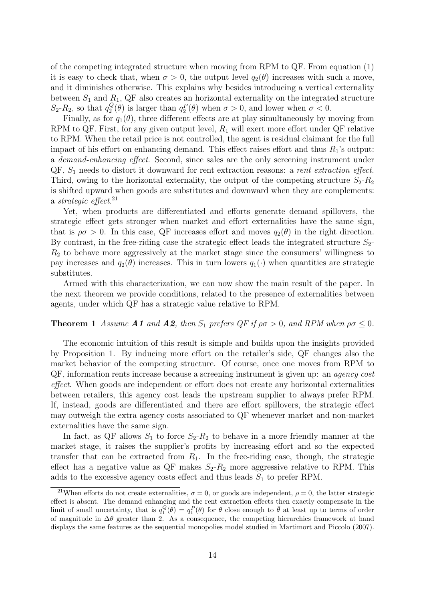of the competing integrated structure when moving from RPM to QF. From equation (1) it is easy to check that, when  $\sigma > 0$ , the output level  $q_2(\theta)$  increases with such a move, and it diminishes otherwise. This explains why besides introducing a vertical externality between  $S_1$  and  $R_1$ , QF also creates an horizontal externality on the integrated structure  $S_2$ - $R_2$ , so that  $q_2^Q$  $Q_2^Q(\theta)$  is larger than  $q_2^P(\theta)$  when  $\sigma > 0$ , and lower when  $\sigma < 0$ .

Finally, as for  $q_1(\theta)$ , three different effects are at play simultaneously by moving from RPM to QF. First, for any given output level,  $R_1$  will exert more effort under QF relative to RPM. When the retail price is not controlled, the agent is residual claimant for the full impact of his effort on enhancing demand. This effect raises effort and thus  $R_1$ 's output: a demand-enhancing effect. Second, since sales are the only screening instrument under  $QF, S<sub>1</sub>$  needs to distort it downward for rent extraction reasons: a *rent extraction effect*. Third, owing to the horizontal externality, the output of the competing structure  $S_2-R_2$ is shifted upward when goods are substitutes and downward when they are complements: a strategic effect. 21

Yet, when products are differentiated and efforts generate demand spillovers, the strategic effect gets stronger when market and effort externalities have the same sign, that is  $\rho \sigma > 0$ . In this case, QF increases effort and moves  $q_2(\theta)$  in the right direction. By contrast, in the free-riding case the strategic effect leads the integrated structure  $S_{2}$ - $R<sub>2</sub>$  to behave more aggressively at the market stage since the consumers' willingness to pay increases and  $q_2(\theta)$  increases. This in turn lowers  $q_1(\cdot)$  when quantities are strategic substitutes.

Armed with this characterization, we can now show the main result of the paper. In the next theorem we provide conditions, related to the presence of externalities between agents, under which QF has a strategic value relative to RPM.

#### **Theorem 1** Assume **A1** and **A2**, then  $S_1$  prefers  $QF$  if  $\rho\sigma > 0$ , and RPM when  $\rho\sigma \leq 0$ .

The economic intuition of this result is simple and builds upon the insights provided by Proposition 1. By inducing more effort on the retailer's side, QF changes also the market behavior of the competing structure. Of course, once one moves from RPM to QF, information rents increase because a screening instrument is given up: an agency cost effect. When goods are independent or effort does not create any horizontal externalities between retailers, this agency cost leads the upstream supplier to always prefer RPM. If, instead, goods are differentiated and there are effort spillovers, the strategic effect may outweigh the extra agency costs associated to QF whenever market and non-market externalities have the same sign.

In fact, as QF allows  $S_1$  to force  $S_2-R_2$  to behave in a more friendly manner at the market stage, it raises the supplier's profits by increasing effort and so the expected transfer that can be extracted from  $R_1$ . In the free-riding case, though, the strategic effect has a negative value as  $\mathbb{Q}F$  makes  $S_2-R_2$  more aggressive relative to RPM. This adds to the excessive agency costs effect and thus leads  $S_1$  to prefer RPM.

<sup>&</sup>lt;sup>21</sup>When efforts do not create externalities,  $\sigma = 0$ , or goods are independent,  $\rho = 0$ , the latter strategic effect is absent. The demand enhancing and the rent extraction effects then exactly compensate in the limit of small uncertainty, that is  $q_1^Q(\theta) = q_1^P(\theta)$  for  $\theta$  close enough to  $\bar{\theta}$  at least up to terms of order of magnitude in  $\Delta\theta$  greater than 2. As a consequence, the competing hierarchies framework at hand displays the same features as the sequential monopolies model studied in Martimort and Piccolo (2007).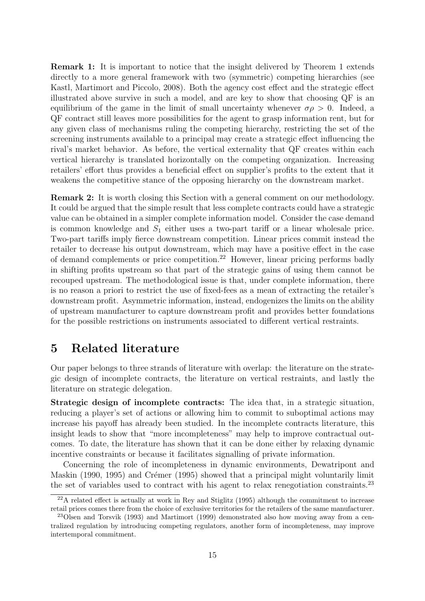Remark 1: It is important to notice that the insight delivered by Theorem 1 extends directly to a more general framework with two (symmetric) competing hierarchies (see Kastl, Martimort and Piccolo, 2008). Both the agency cost effect and the strategic effect illustrated above survive in such a model, and are key to show that choosing QF is an equilibrium of the game in the limit of small uncertainty whenever  $\sigma \rho > 0$ . Indeed, a QF contract still leaves more possibilities for the agent to grasp information rent, but for any given class of mechanisms ruling the competing hierarchy, restricting the set of the screening instruments available to a principal may create a strategic effect influencing the rival's market behavior. As before, the vertical externality that QF creates within each vertical hierarchy is translated horizontally on the competing organization. Increasing retailers' effort thus provides a beneficial effect on supplier's profits to the extent that it weakens the competitive stance of the opposing hierarchy on the downstream market.

Remark 2: It is worth closing this Section with a general comment on our methodology. It could be argued that the simple result that less complete contracts could have a strategic value can be obtained in a simpler complete information model. Consider the case demand is common knowledge and  $S_1$  either uses a two-part tariff or a linear wholesale price. Two-part tariffs imply fierce downstream competition. Linear prices commit instead the retailer to decrease his output downstream, which may have a positive effect in the case of demand complements or price competition.<sup>22</sup> However, linear pricing performs badly in shifting profits upstream so that part of the strategic gains of using them cannot be recouped upstream. The methodological issue is that, under complete information, there is no reason a priori to restrict the use of fixed-fees as a mean of extracting the retailer's downstream profit. Asymmetric information, instead, endogenizes the limits on the ability of upstream manufacturer to capture downstream profit and provides better foundations for the possible restrictions on instruments associated to different vertical restraints.

## 5 Related literature

Our paper belongs to three strands of literature with overlap: the literature on the strategic design of incomplete contracts, the literature on vertical restraints, and lastly the literature on strategic delegation.

Strategic design of incomplete contracts: The idea that, in a strategic situation, reducing a player's set of actions or allowing him to commit to suboptimal actions may increase his payoff has already been studied. In the incomplete contracts literature, this insight leads to show that "more incompleteness" may help to improve contractual outcomes. To date, the literature has shown that it can be done either by relaxing dynamic incentive constraints or because it facilitates signalling of private information.

Concerning the role of incompleteness in dynamic environments, Dewatripont and Maskin (1990, 1995) and Crémer (1995) showed that a principal might voluntarily limit the set of variables used to contract with his agent to relax renegotiation constraints.<sup>23</sup>

 $22A$  related effect is actually at work in Rey and Stiglitz (1995) although the commitment to increase retail prices comes there from the choice of exclusive territories for the retailers of the same manufacturer.

<sup>23</sup>Olsen and Torsvik (1993) and Martimort (1999) demonstrated also how moving away from a centralized regulation by introducing competing regulators, another form of incompleteness, may improve intertemporal commitment.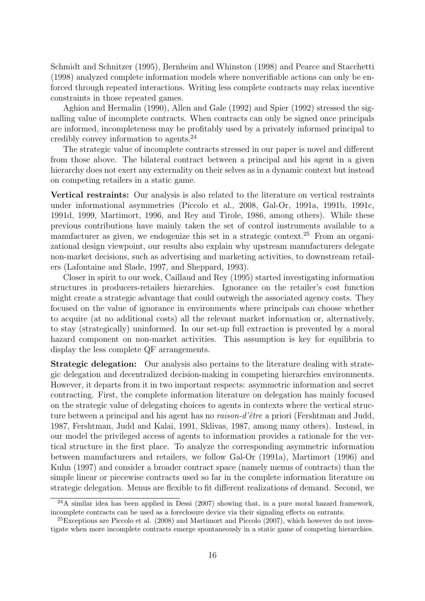Schmidt and Schnitzer (1995), Bernheim and Whinston (1998) and Pearce and Stacchetti (1998) analyzed complete information models where nonverifiable actions can only be enforced through repeated interactions. Writing less complete contracts may relax incentive constraints in those repeated games.

Aghion and Hermalin (1990), Allen and Gale (1992) and Spier (1992) stressed the signalling value of incomplete contracts. When contracts can only be signed once principals are informed, incompleteness may be profitably used by a privately informed principal to credibly convey information to agents.<sup>24</sup>

The strategic value of incomplete contracts stressed in our paper is novel and different from those above. The bilateral contract between a principal and his agent in a given hierarchy does not exert any externality on their selves as in a dynamic context but instead on competing retailers in a static game.

Vertical restraints: Our analysis is also related to the literature on vertical restraints under informational asymmetries (Piccolo et al., 2008, Gal-Or, 1991a, 1991b, 1991c, 1991d, 1999, Martimort, 1996, and Rey and Tirole, 1986, among others). While these previous contributions have mainly taken the set of control instruments available to a manufacturer as given, we endogenize this set in a strategic context.<sup>25</sup> From an organizational design viewpoint, our results also explain why upstream manufacturers delegate non-market decisions, such as advertising and marketing activities, to downstream retailers (Lafontaine and Slade, 1997, and Sheppard, 1993).

Closer in spirit to our work, Caillaud and Rey (1995) started investigating information structures in producers-retailers hierarchies. Ignorance on the retailer's cost function might create a strategic advantage that could outweigh the associated agency costs. They focused on the value of ignorance in environments where principals can choose whether to acquire (at no additional costs) all the relevant market information or, alternatively, to stay (strategically) uninformed. In our set-up full extraction is prevented by a moral hazard component on non-market activities. This assumption is key for equilibria to display the less complete QF arrangements.

Strategic delegation: Our analysis also pertains to the literature dealing with strategic delegation and decentralized decision-making in competing hierarchies environments. However, it departs from it in two important respects: asymmetric information and secret contracting. First, the complete information literature on delegation has mainly focused on the strategic value of delegating choices to agents in contexts where the vertical structure between a principal and his agent has no *raison-d'être* a priori (Fershtman and Judd, 1987, Fershtman, Judd and Kalai, 1991, Sklivas, 1987, among many others). Instead, in our model the privileged access of agents to information provides a rationale for the vertical structure in the first place. To analyze the corresponding asymmetric information between manufacturers and retailers, we follow Gal-Or (1991a), Martimort (1996) and Kuhn (1997) and consider a broader contract space (namely menus of contracts) than the simple linear or piecewise contracts used so far in the complete information literature on strategic delegation. Menus are flexible to fit different realizations of demand. Second, we

 $^{24}$ A similar idea has been applied in Dessi (2007) showing that, in a pure moral hazard framework, incomplete contracts can be used as a foreclosure device via their signaling effects on entrants.

<sup>&</sup>lt;sup>25</sup>Exceptions are Piccolo et al. (2008) and Martimort and Piccolo (2007), which however do not investigate when more incomplete contracts emerge spontaneously in a static game of competing hierarchies.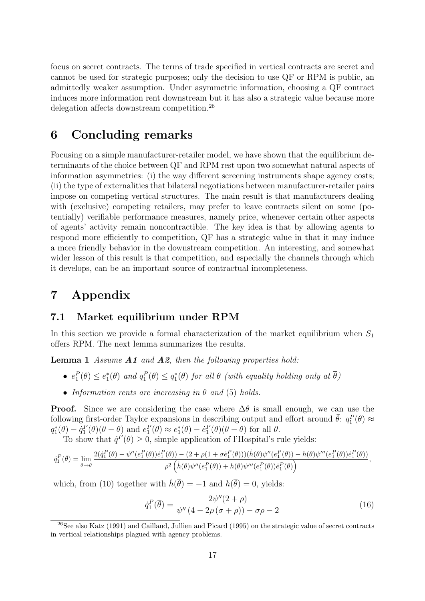focus on secret contracts. The terms of trade specified in vertical contracts are secret and cannot be used for strategic purposes; only the decision to use QF or RPM is public, an admittedly weaker assumption. Under asymmetric information, choosing a QF contract induces more information rent downstream but it has also a strategic value because more delegation affects downstream competition.<sup>26</sup>

## 6 Concluding remarks

Focusing on a simple manufacturer-retailer model, we have shown that the equilibrium determinants of the choice between QF and RPM rest upon two somewhat natural aspects of information asymmetries: (i) the way different screening instruments shape agency costs; (ii) the type of externalities that bilateral negotiations between manufacturer-retailer pairs impose on competing vertical structures. The main result is that manufacturers dealing with (exclusive) competing retailers, may prefer to leave contracts silent on some (potentially) verifiable performance measures, namely price, whenever certain other aspects of agents' activity remain noncontractible. The key idea is that by allowing agents to respond more efficiently to competition, QF has a strategic value in that it may induce a more friendly behavior in the downstream competition. An interesting, and somewhat wider lesson of this result is that competition, and especially the channels through which it develops, can be an important source of contractual incompleteness.

## 7 Appendix

#### 7.1 Market equilibrium under RPM

In this section we provide a formal characterization of the market equilibrium when  $S_1$ offers RPM. The next lemma summarizes the results.

**Lemma 1** Assume **A1** and **A2**, then the following properties hold:

- $e_1^P(\theta) \leq e_1^*(\theta)$  and  $q_1^P(\theta) \leq q_1^*(\theta)$  for all  $\theta$  (with equality holding only at  $\overline{\theta}$ )
- Information rents are increasing in  $\theta$  and (5) holds.

**Proof.** Since we are considering the case where  $\Delta\theta$  is small enough, we can use the following first-order Taylor expansions in describing output and effort around  $\bar{\theta}$ :  $q_1^P(\theta) \approx$  $q_1^*(\overline{\theta}) - \dot{q}_1^P(\overline{\theta}) (\overline{\theta} - \theta)$  and  $e_1^P(\theta) \approx e_1^*(\overline{\theta}) - \dot{e}_1^P(\overline{\theta}) (\overline{\theta} - \theta)$  for all  $\theta$ .

To show that  $\dot{q}^P(\theta) \geq 0$ , simple application of l'Hospital's rule yields:

$$
\dot{q}_1^P(\bar{\theta})=\lim_{\theta\rightarrow\overline{\theta}}\frac{2(\dot{q}_1^P(\theta)-\psi''(e_1^P(\theta))\dot{e}_1^P(\theta))-(2+\rho(1+\sigma\dot{e}_1^P(\theta)))(\dot{h}(\theta)\psi''(e_1^P(\theta))-h(\theta)\psi'''(e_1^P(\theta))\dot{e}_1^P(\theta))}{\rho^2\left(\dot{h}(\theta)\psi''(e_1^P(\theta))+h(\theta)\psi'''(e_1^P(\theta))\dot{e}_1^P(\theta)\right)},
$$

which, from (10) together with  $\dot{h}(\overline{\theta}) = -1$  and  $h(\overline{\theta}) = 0$ , yields:

$$
\dot{q}_1^P(\overline{\theta}) = \frac{2\psi''(2+\rho)}{\psi''(4-2\rho(\sigma+\rho))-\sigma\rho-2}
$$
\n(16)

 $^{26}$ See also Katz (1991) and Caillaud, Jullien and Picard (1995) on the strategic value of secret contracts in vertical relationships plagued with agency problems.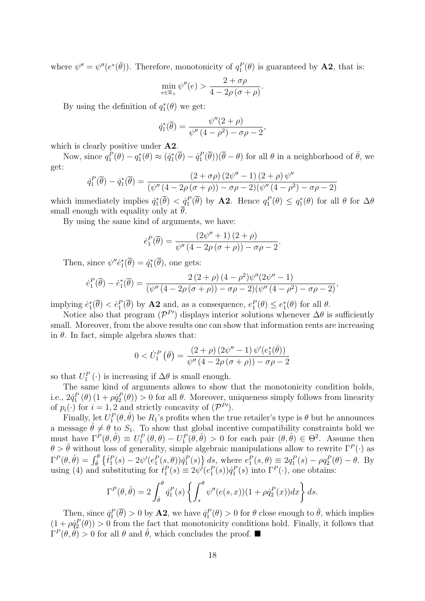where  $\psi'' = \psi''(e^*(\bar{\theta}))$ . Therefore, monotonicity of  $q_1^P(\theta)$  is guaranteed by **A2**, that is:

$$
\min_{e \in \mathbb{R}_+} \psi''(e) > \frac{2 + \sigma \rho}{4 - 2\rho(\sigma + \rho)}.
$$

By using the definition of  $q_1^*(\theta)$  we get:

$$
\dot{q}_1^*(\overline{\theta}) = \frac{\psi''(2+\rho)}{\psi''(4-\rho^2) - \sigma\rho - 2},
$$

which is clearly positive under **A2**.

Now, since  $q_1^{\tilde{P}}(\theta) - q_1^*(\theta) \approx (q_1^*(\bar{\theta}) - \dot{q}_1^P(\bar{\theta}))(\bar{\theta} - \theta)$  for all  $\theta$  in a neighborhood of  $\bar{\theta}$ , we get:

$$
\dot{q}_1^P(\overline{\theta}) - \dot{q}_1^*(\overline{\theta}) = \frac{(2+\sigma\rho)(2\psi''-1)(2+\rho)\psi''}{(\psi''(4-2\rho(\sigma+\rho))-\sigma\rho-2)(\psi''(4-\rho^2)-\sigma\rho-2)}
$$

which immediately implies  $\dot{q}_1^*(\bar{\theta}) < \dot{q}_1^P(\bar{\theta})$  by **A2**. Hence  $q_1^P(\theta) \leq q_1^*(\theta)$  for all  $\theta$  for  $\Delta\theta$ small enough with equality only at  $\overline{\theta}$ .

By using the same kind of arguments, we have:

$$
\dot{e}_1^P(\overline{\theta}) = \frac{(2\psi'' + 1)(2+\rho)}{\psi''(4-2\rho(\sigma+\rho)) - \sigma\rho - 2}.
$$

Then, since  $\psi'' \dot{e}_1^* (\overline{\theta}) = \dot{q}_1^* (\overline{\theta})$ , one gets:

$$
\dot{e}_1^P(\overline{\theta}) - \dot{e}_1^*(\overline{\theta}) = \frac{2(2+\rho)(4-\rho^2)\psi''(2\psi''-1)}{(\psi''(4-2\rho(\sigma+\rho))-\sigma\rho-2)(\psi''(4-\rho^2)-\sigma\rho-2)},
$$

implying  $\dot{e}_1^*(\bar{\theta}) < \dot{e}_1^P(\bar{\theta})$  by **A2** and, as a consequence,  $e_1^P(\theta) \leq e_1^*(\theta)$  for all  $\theta$ .

Notice also that program  $(\mathcal{P}^{P}{}')$  displays interior solutions whenever  $\Delta\theta$  is sufficiently small. Moreover, from the above results one can show that information rents are increasing in  $\theta$ . In fact, simple algebra shows that:

$$
0 < \dot{U}_1^P \left( \bar{\theta} \right) = \frac{(2+\rho) \left( 2\psi'' - 1 \right) \psi' \left( e_1^* \left( \bar{\theta} \right) \right)}{\psi'' \left( 4 - 2\rho \left( \sigma + \rho \right) \right) - \sigma \rho - 2}
$$

so that  $U_1^P(\cdot)$  is increasing if  $\Delta\theta$  is small enough.

The same kind of arguments allows to show that the monotonicity condition holds, i.e.,  $2\dot{q}_1^P(\theta)(1+\rho\dot{q}_2^P(\theta))>0$  for all  $\theta$ . Moreover, uniqueness simply follows from linearity of  $p_i(\cdot)$  for  $i = 1, 2$  and strictly concavity of  $(\mathcal{P}^{P'}).$ 

Finally, let  $U_1^P(\theta, \hat{\theta})$  be  $R_1$ 's profits when the true retailer's type is  $\theta$  but he announces a message  $\hat{\theta} \neq \theta$  to  $S_1$ . To show that global incentive compatibility constraints hold we must have  $\Gamma^P(\theta, \hat{\theta}) \equiv U_1^P(\theta, \theta) - U_1^P(\theta, \hat{\theta}) > 0$  for each pair  $(\theta, \hat{\theta}) \in \Theta^2$ . Assume then  $\theta > \hat{\theta}$  without loss of generality, simple algebraic manipulations allow to rewrite  $\Gamma^P(\cdot)$  as  $\Gamma^{P}(\theta, \hat{\theta}) = \int_{\hat{\theta}}^{\theta} \left\{ \dot{t}_{1}^{P}(s) - 2\psi'(e_{1}^{P}(s, \theta))\dot{q}_{1}^{P}(s) \right\} ds$ , where  $e_{1}^{P}(s, \theta) \equiv 2q_{1}^{P}(s) - \rho q_{2}^{P}(\theta) - \theta$ . By using (4) and substituting for  $t_1^P(s) \equiv 2\psi'(e_1^P(s))\dot{q}_1^P(s)$  into  $\Gamma^P(\cdot)$ , one obtains:

$$
\Gamma^{P}(\theta, \hat{\theta}) = 2 \int_{\hat{\theta}}^{\theta} \dot{q}_{1}^{P}(s) \left\{ \int_{s}^{\theta} \psi''(e(s, x))(1 + \rho \dot{q}_{2}^{P}(x))dx \right\} ds.
$$

Then, since  $\dot{q}_1^P(\bar{\theta}) > 0$  by **A2**, we have  $\dot{q}_1^P(\theta) > 0$  for  $\theta$  close enough to  $\bar{\theta}$ , which implies  $(1 + \rho \dot{q}_2^P(\theta)) > 0$  from the fact that monotonicity conditions hold. Finally, it follows that  $\Gamma^P(\theta, \tilde{\theta}) > 0$  for all  $\theta$  and  $\hat{\theta}$ , which concludes the proof.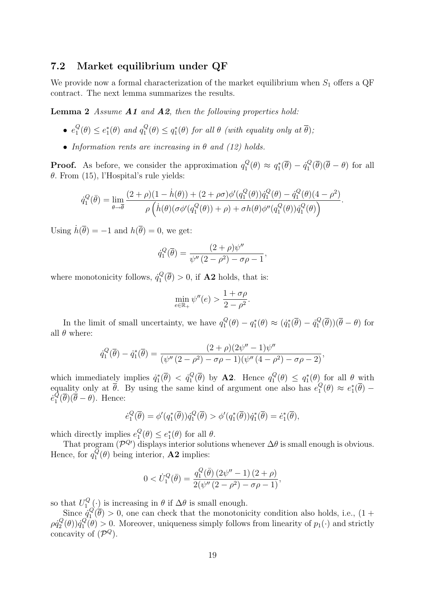#### 7.2 Market equilibrium under QF

We provide now a formal characterization of the market equilibrium when  $S_1$  offers a QF contract. The next lemma summarizes the results.

**Lemma 2** Assume  $A1$  and  $A2$ , then the following properties hold:

- $\bullet$   $e_1^Q$  $_1^Q(\theta) \leq e_1^*(\theta)$  and  $q_1^Q$  $\mathcal{L}_{1}^{Q}(\theta) \leq q_{1}^{*}(\theta)$  for all  $\theta$  (with equality only at  $\overline{\theta}$ );
- Information rents are increasing in  $\theta$  and (12) holds.

**Proof.** As before, we consider the approximation  $q_1^Q$  $q_1^Q(\theta) \approx q_1^*(\overline{\theta}) - \dot{q}_1^Q$  $\int_1^Q (\theta)(\theta - \theta)$  for all θ. From (15), l'Hospital's rule yields:

$$
\dot{q}_1^Q(\bar{\theta}) = \lim_{\theta \to \bar{\theta}} \frac{(2+\rho)(1-\dot{h}(\theta)) + (2+\rho\sigma)\phi'(q_1^Q(\theta))\dot{q}_1^Q(\theta) - \dot{q}_1^Q(\theta)(4-\rho^2)}{\rho \left(\dot{h}(\theta)(\sigma\phi'(q_1^Q(\theta)) + \rho) + \sigma h(\theta)\phi''(q_1^Q(\theta))\dot{q}_1^Q(\theta)\right)}.
$$

Using  $\dot{h}(\overline{\theta}) = -1$  and  $h(\overline{\theta}) = 0$ , we get:

$$
\dot{q}_1^Q(\overline{\theta}) = \frac{(2+\rho)\psi''}{\psi''(2-\rho^2) - \sigma\rho - 1},
$$

where monotonicity follows,  $\dot{q}_1^Q$  $\mathcal{L}_1^Q(\theta) > 0$ , if **A2** holds, that is:

$$
\min_{e \in \mathbb{R}_+} \psi''(e) > \frac{1 + \sigma \rho}{2 - \rho^2}.
$$

In the limit of small uncertainty, we have  $q_1^Q$  $q_1^Q(\theta) - q_1^*(\theta) \approx (\dot{q}_1^*(\overline{\theta}) - \dot{q}_1^Q)$  $\eta_1^Q(\theta)$  ( $\theta - \theta$ ) for all  $\theta$  where:

$$
\dot{q}_1^Q(\overline{\theta}) - \dot{q}_1^*(\overline{\theta}) = \frac{(2+\rho)(2\psi''-1)\psi''}{(\psi''(2-\rho^2)-\sigma\rho-1)(\psi''(4-\rho^2)-\sigma\rho-2)},
$$

which immediately implies  $\dot{q}_1^*(\overline{\theta}) < \dot{q}_1^Q$  $_1^Q(\overline{\theta})$  by **A2**. Hence  $q_1^Q$  $q_1^Q(\theta) \leq q_1^*(\theta)$  for all  $\theta$  with equality only at  $\overline{\theta}$ . By using the same kind of argument one also has  $e_1^{\mathcal{Q}}$  $e_1^Q(\theta) \approx e_1^*(\overline{\theta}) \dot{e}_1^Q$  $_{1}^{\mathcal{Q}}(\theta)(\theta-\theta)$ . Hence:

$$
\dot{e}_1^Q(\overline{\theta}) = \phi'(q_1^*(\overline{\theta}))\dot{q}_1^Q(\overline{\theta}) > \phi'(q_1^*(\overline{\theta}))\dot{q}_1^*(\overline{\theta}) = \dot{e}_1^*(\overline{\theta}),
$$

which directly implies  $e_1^Q$  $_1^Q(\theta) \leq e_1^*(\theta)$  for all  $\theta$ .

That program  $(\mathcal{P}^{Q})$  displays interior solutions whenever  $\Delta\theta$  is small enough is obvious. Hence, for  $q_1^Q$  $\mathcal{L}_1^Q(\theta)$  being interior, **A2** implies:

$$
0 < \dot{U}_1^Q(\bar{\theta}) = \frac{q_1^Q(\bar{\theta}) (2\psi'' - 1) (2 + \rho)}{2(\psi'' (2 - \rho^2) - \sigma \rho - 1)},
$$

so that  $U_1^Q$  $\mathcal{L}_{1}^{Q}(\cdot)$  is increasing in  $\theta$  if  $\Delta\theta$  is small enough.

Since  $\dot{q}_1^Q$  $\mathcal{L}_1^Q(\theta) > 0$ , one can check that the monotonicity condition also holds, i.e.,  $(1 +$  $\rho\dot{q}_2^Q$  $q_2^Q(\theta))\dot q_1^Q$  $\mathcal{L}_1^Q(\theta) > 0$ . Moreover, uniqueness simply follows from linearity of  $p_1(\cdot)$  and strictly concavity of  $(\mathcal{P}^Q)$ .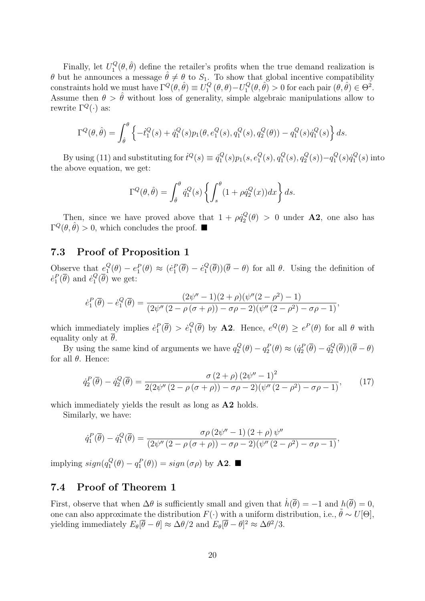Finally, let  $U_1^Q$  $T_1^Q(\theta, \hat{\theta})$  define the retailer's profits when the true demand realization is θ but he announces a message  $\hat{\theta} \neq \theta$  to S<sub>1</sub>. To show that global incentive compatibility constraints hold we must have  $\Gamma^Q(\theta, \hat{\theta}) \equiv U_1^Q$  $U_1^Q(\theta, \theta) - U_1^Q$  $\overline{f}_1^Q(\theta, \hat{\theta}) > 0$  for each pair  $(\theta, \hat{\theta}) \in \Theta^2$ . Assume then  $\theta > \hat{\theta}$  without loss of generality, simple algebraic manipulations allow to rewrite  $\Gamma^Q(\cdot)$  as:

$$
\Gamma^{Q}(\theta, \hat{\theta}) = \int_{\hat{\theta}}^{\theta} \left\{ -\dot{t}_{1}^{Q}(s) + \dot{q}_{1}^{Q}(s) p_{1}(\theta, e_{1}^{Q}(s), q_{1}^{Q}(s), q_{2}^{Q}(\theta)) - q_{1}^{Q}(s) \dot{q}_{1}^{Q}(s) \right\} ds.
$$

By using (11) and substituting for  $\dot{t}^Q(s) \equiv \dot{q}_1^Q$  $q_{1}^{Q}(s)p_{1}(s,e_{1}^{Q}% ,\theta_{1}^{Q}(s))p_{2}(s,e_{1}^{Q}(s))p_{3}(s)$  $_{1}^{Q}(s), q_{1}^{Q}$  $q_{1}^{Q}(s), q_{2}^{Q}$  $q_2^Q(s)$ ) $-q_1^Q$  $f_{1}^{Q}(s)\dot{q}_{1}^{Q}$  $\binom{Q}{1}(s)$  into the above equation, we get:

$$
\Gamma^{Q}(\theta, \hat{\theta}) = \int_{\hat{\theta}}^{\theta} \dot{q}_{1}^{Q}(s) \left\{ \int_{s}^{\theta} (1 + \rho \dot{q}_{2}^{Q}(x)) dx \right\} ds.
$$

Then, since we have proved above that  $1 + \rho q_2^Q$  $\Omega_2^Q(\theta) > 0$  under **A2**, one also has  $\Gamma^Q(\theta, \hat{\theta}) > 0$ , which concludes the proof.

#### 7.3 Proof of Proposition 1

Observe that  $e_1^Q$  $_1^Q(\theta) - e_1^P(\theta) \approx (e_1^P(\overline{\theta}) - e_1^Q)$  $\binom{Q}{1}(\theta)$  ( $\theta - \theta$ ) for all  $\theta$ . Using the definition of  $\dot{e}_1^P(\overline{\theta})$  and  $\dot{e}_1^Q$  $_{1}^{\mathcal{Q}}(\theta)$  we get:

$$
\dot{e}_1^P(\overline{\theta}) - \dot{e}_1^Q(\overline{\theta}) = \frac{(2\psi'' - 1)(2 + \rho)(\psi''(2 - \rho^2) - 1)}{(2\psi''(2 - \rho(\sigma + \rho)) - \sigma\rho - 2)(\psi''(2 - \rho^2) - \sigma\rho - 1)},
$$

which immediately implies  $\dot{e}_1^P(\overline{\theta}) > \dot{e}_1^Q$  $_1^Q(\overline{\theta})$  by **A2**. Hence,  $e^Q(\theta) \geq e^P(\theta)$  for all  $\theta$  with equality only at  $\theta$ .

By using the same kind of arguments we have  $q_2^Q$  $q_2^Q(\theta) - q_2^P(\theta) \approx (\dot{q}_2^P(\overline{\theta}) - \dot{q}_2^Q)$  $Q_2^Q(\theta))(\theta-\theta)$ for all θ. Hence:

$$
\dot{q}_2^P(\overline{\theta}) - \dot{q}_2^Q(\overline{\theta}) = \frac{\sigma (2+\rho) (2\psi'' - 1)^2}{2(2\psi'' (2-\rho(\sigma+\rho)) - \sigma\rho - 2)(\psi'' (2-\rho^2) - \sigma\rho - 1)},\tag{17}
$$

which immediately yields the result as long as  $A2$  holds.

Similarly, we have:

$$
\dot{q}_1^P(\overline{\theta}) - \dot{q}_1^Q(\overline{\theta}) = \frac{\sigma \rho (2\psi'' - 1) (2 + \rho) \psi''}{(2\psi'' (2 - \rho(\sigma + \rho)) - \sigma \rho - 2)(\psi'' (2 - \rho^2) - \sigma \rho - 1)},
$$

implying  $sign(q_1^Q)$  $s_1^Q(\theta) - q_1^P(\theta) = sign(\sigma \rho)$  by **A2.** 

#### 7.4 Proof of Theorem 1

First, observe that when  $\Delta\theta$  is sufficiently small and given that  $\dot{h}(\overline{\theta}) = -1$  and  $h(\overline{\theta}) = 0$ , one can also approximate the distribution  $F(\cdot)$  with a uniform distribution, i.e.,  $\hat{\theta} \sim U[\Theta]$ , yielding immediately  $E_{\theta}[\bar{\theta} - \theta] \approx \Delta \theta/2$  and  $E_{\theta}[\bar{\theta} - \theta]^2 \approx \Delta \theta^2/3$ .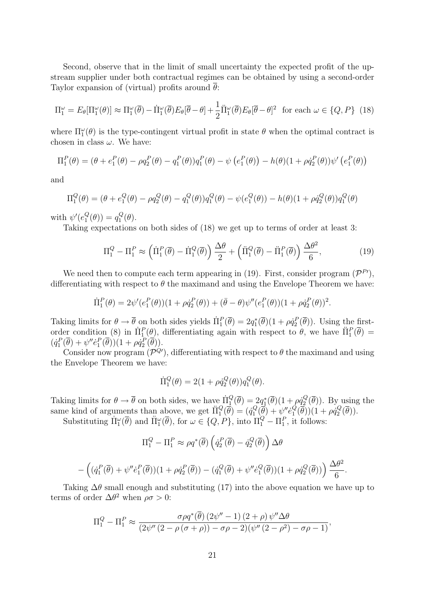Second, observe that in the limit of small uncertainty the expected profit of the upstream supplier under both contractual regimes can be obtained by using a second-order Taylor expansion of (virtual) profits around  $\theta$ :

$$
\Pi_1^{\omega} = E_{\theta}[\Pi_1^{\omega}(\theta)] \approx \Pi_1^{\omega}(\overline{\theta}) - \dot{\Pi}_1^{\omega}(\overline{\theta})E_{\theta}[\overline{\theta} - \theta] + \frac{1}{2}\ddot{\Pi}_1^{\omega}(\overline{\theta})E_{\theta}[\overline{\theta} - \theta]^2 \text{ for each } \omega \in \{Q, P\} \tag{18}
$$

where  $\Pi_1^{\omega}(\theta)$  is the type-contingent virtual profit in state  $\theta$  when the optimal contract is chosen in class  $\omega$ . We have:

$$
\Pi_1^P(\theta) = (\theta + e_1^P(\theta) - \rho q_2^P(\theta) - q_1^P(\theta))q_1^P(\theta) - \psi (e_1^P(\theta)) - h(\theta)(1 + \rho \dot{q}_2^P(\theta))\psi'(e_1^P(\theta))
$$

and

$$
\Pi_1^Q(\theta) = (\theta + e_1^Q(\theta) - \rho q_2^Q(\theta) - q_1^Q(\theta))q_1^Q(\theta) - \psi(e_1^Q(\theta)) - h(\theta)(1 + \rho \dot{q}_2^Q(\theta))q_1^Q(\theta)
$$

with  $\psi'(e_1^Q)$  $_1^Q(\theta) = q_1^Q$  $\mathcal{Q}_1(\theta)$ .

Taking expectations on both sides of (18) we get up to terms of order at least 3:

$$
\Pi_1^Q - \Pi_1^P \approx \left( \Pi_1^P(\overline{\theta}) - \Pi_1^Q(\overline{\theta}) \right) \frac{\Delta \theta}{2} + \left( \Pi_1^Q(\overline{\theta}) - \Pi_1^P(\overline{\theta}) \right) \frac{\Delta \theta^2}{6},\tag{19}
$$

We need then to compute each term appearing in (19). First, consider program  $(\mathcal{P}^{P'}),$ differentiating with respect to  $\theta$  the maximand and using the Envelope Theorem we have:

$$
\Pi_1^P(\theta) = 2\psi'(e_1^P(\theta))(1 + \rho \dot{q}_2^P(\theta)) + (\bar{\theta} - \theta)\psi''(e_1^P(\theta))(1 + \rho \dot{q}_2^P(\theta))^2.
$$

Taking limits for  $\theta \to \overline{\theta}$  on both sides yields  $\Pi_1^P(\overline{\theta}) = 2q_1^*(\overline{\theta})(1 + \rho q_2^P(\overline{\theta}))$ . Using the firstorder condition (8) in  $\Pi_1^P(\theta)$ , differentiating again with respect to  $\theta$ , we have  $\Pi_1^P(\overline{\theta}) =$  $(\dot{q}_1^P(\overline{\theta}) + \psi'' \dot{e}_1^P(\overline{\theta})) (1 + \rho \dot{q}_2^P(\overline{\theta})).$ 

Consider now program  $(\mathcal{P}^{Q\prime})$ , differentiating with respect to  $\theta$  the maximand and using the Envelope Theorem we have:

$$
\dot{\Pi}_1^Q(\theta) = 2(1 + \rho \dot{q}_2^Q(\theta))q_1^Q(\theta).
$$

Taking limits for  $\theta \to \bar{\theta}$  on both sides, we have  $\Pi_1^Q(\bar{\theta}) = 2q_1^*(\bar{\theta})(1 + \rho q_2^Q)$  $\mathcal{L}_2^Q(\theta)$ . By using the same kind of arguments than above, we get  $\Pi_1^Q(\vec{\theta}) = (q_1^Q)$  $\psi_1^Q(\overline{\theta}) + \psi''\dot{e}_1^Q$  $\left(\overline{\theta}\right)(1+\rho\dot{q}_2^Q)$  $\binom{Q}{2}(\theta)$ ).

Substituting  $\Pi_1^{\omega}(\overline{\theta})$  and  $\Pi_1^{\omega}(\overline{\theta})$ , for  $\omega \in \{Q, P\}$ , into  $\Pi_1^{Q} - \Pi_1^{P}$ , it follows:

$$
\Pi_1^Q - \Pi_1^P \approx \rho q^* (\overline{\theta}) \left( \dot{q}_2^P (\overline{\theta}) - \dot{q}_2^Q (\overline{\theta}) \right) \Delta \theta
$$

$$
- \left( (\dot{q}_1^P (\overline{\theta}) + \psi'' \dot{e}_1^P (\overline{\theta})) (1 + \rho \dot{q}_2^P (\overline{\theta})) - (\dot{q}_1^Q (\overline{\theta}) + \psi'' \dot{e}_1^Q (\overline{\theta})) (1 + \rho \dot{q}_2^Q (\overline{\theta})) \right) \frac{\Delta \theta^2}{6}.
$$

Taking  $\Delta\theta$  small enough and substituting (17) into the above equation we have up to terms of order  $\Delta\theta^2$  when  $\rho\sigma > 0$ :

$$
\Pi_1^Q - \Pi_1^P \approx \frac{\sigma \rho q^*(\overline{\theta}) (2\psi'' - 1) (2 + \rho) \psi'' \Delta \theta}{(2\psi'' (2 - \rho(\sigma + \rho)) - \sigma \rho - 2)(\psi'' (2 - \rho^2) - \sigma \rho - 1)},
$$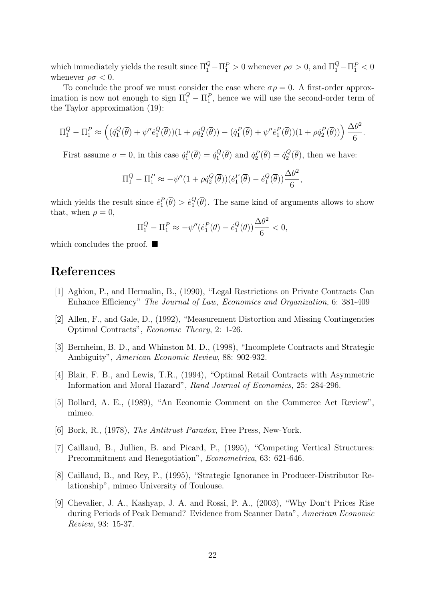which immediately yields the result since  $\Pi_1^Q - \Pi_1^P > 0$  whenever  $\rho \sigma > 0$ , and  $\Pi_1^Q - \Pi_1^P < 0$ whenever  $\rho \sigma < 0$ .

To conclude the proof we must consider the case where  $\sigma \rho = 0$ . A first-order approximation is now not enough to sign  $\Pi_1^Q - \Pi_1^P$ , hence we will use the second-order term of the Taylor approximation (19):

$$
\Pi_1^Q - \Pi_1^P \approx \left( (\dot{q}_1^Q(\overline{\theta}) + \psi'' \dot{e}_1^Q(\overline{\theta})) (1 + \rho \dot{q}_2^Q(\overline{\theta})) - (\dot{q}_1^P(\overline{\theta}) + \psi'' \dot{e}_1^P(\overline{\theta})) (1 + \rho \dot{q}_2^P(\overline{\theta})) \right) \frac{\Delta \theta^2}{6}.
$$

First assume  $\sigma = 0$ , in this case  $\dot{q}_1^P(\overline{\theta}) = \dot{q}_1^Q$  $q_1^Q(\overline{\theta})$  and  $\dot{q}_2^P(\overline{\theta}) = \dot{q}_2^Q$  $\chi_2^Q(\theta)$ , then we have:

$$
\Pi_1^Q - \Pi_1^P \approx -\psi''(1 + \rho \dot{q}_2^Q(\overline{\theta})) (\dot{e}_1^P(\overline{\theta}) - \dot{e}_1^Q(\overline{\theta})) \frac{\Delta \theta^2}{6},
$$

which yields the result since  $\dot{e}_1^P(\overline{\theta}) > \dot{e}_1^Q$  $_{1}^{\mathcal{Q}}(\theta)$ . The same kind of arguments allows to show that, when  $\rho = 0$ ,

$$
\Pi_1^Q - \Pi_1^P \approx -\psi''(\dot{e}_1^P(\overline{\theta}) - \dot{e}_1^Q(\overline{\theta}))\frac{\Delta\theta^2}{6} < 0,
$$

which concludes the proof.  $\blacksquare$ 

### References

- [1] Aghion, P., and Hermalin, B., (1990), "Legal Restrictions on Private Contracts Can Enhance Efficiency" The Journal of Law, Economics and Organization, 6: 381-409
- [2] Allen, F., and Gale, D., (1992), "Measurement Distortion and Missing Contingencies Optimal Contracts", Economic Theory, 2: 1-26.
- [3] Bernheim, B. D., and Whinston M. D., (1998), "Incomplete Contracts and Strategic Ambiguity", American Economic Review, 88: 902-932.
- [4] Blair, F. B., and Lewis, T.R., (1994), "Optimal Retail Contracts with Asymmetric Information and Moral Hazard", Rand Journal of Economics, 25: 284-296.
- [5] Bollard, A. E., (1989), "An Economic Comment on the Commerce Act Review", mimeo.
- [6] Bork, R., (1978), The Antitrust Paradox, Free Press, New-York.
- [7] Caillaud, B., Jullien, B. and Picard, P., (1995), "Competing Vertical Structures: Precommitment and Renegotiation", Econometrica, 63: 621-646.
- [8] Caillaud, B., and Rey, P., (1995), "Strategic Ignorance in Producer-Distributor Relationship", mimeo University of Toulouse.
- [9] Chevalier, J. A., Kashyap, J. A. and Rossi, P. A., (2003), "Why Don't Prices Rise during Periods of Peak Demand? Evidence from Scanner Data", American Economic Review, 93: 15-37.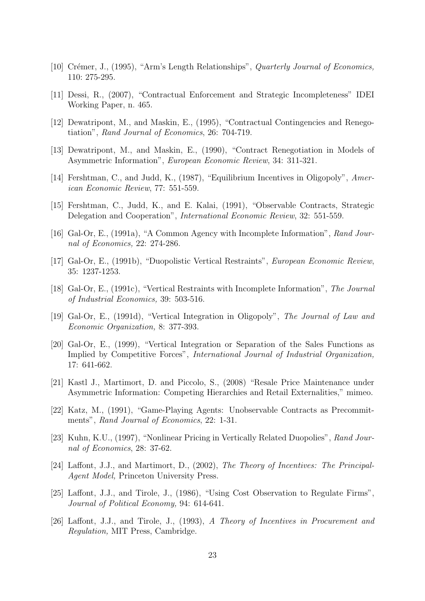- [10] Crémer, J., (1995), "Arm's Length Relationships", *Quarterly Journal of Economics*, 110: 275-295.
- [11] Dessi, R., (2007), "Contractual Enforcement and Strategic Incompleteness" IDEI Working Paper, n. 465.
- [12] Dewatripont, M., and Maskin, E., (1995), "Contractual Contingencies and Renegotiation", Rand Journal of Economics, 26: 704-719.
- [13] Dewatripont, M., and Maskin, E., (1990), "Contract Renegotiation in Models of Asymmetric Information", European Economic Review, 34: 311-321.
- [14] Fershtman, C., and Judd, K., (1987), "Equilibrium Incentives in Oligopoly", American Economic Review, 77: 551-559.
- [15] Fershtman, C., Judd, K., and E. Kalai, (1991), "Observable Contracts, Strategic Delegation and Cooperation", International Economic Review, 32: 551-559.
- [16] Gal-Or, E., (1991a), "A Common Agency with Incomplete Information", Rand Journal of Economics, 22: 274-286.
- [17] Gal-Or, E., (1991b), "Duopolistic Vertical Restraints", European Economic Review, 35: 1237-1253.
- [18] Gal-Or, E., (1991c), "Vertical Restraints with Incomplete Information", The Journal of Industrial Economics, 39: 503-516.
- [19] Gal-Or, E., (1991d), "Vertical Integration in Oligopoly", The Journal of Law and Economic Organization, 8: 377-393.
- [20] Gal-Or, E., (1999), "Vertical Integration or Separation of the Sales Functions as Implied by Competitive Forces", International Journal of Industrial Organization, 17: 641-662.
- [21] Kastl J., Martimort, D. and Piccolo, S., (2008) "Resale Price Maintenance under Asymmetric Information: Competing Hierarchies and Retail Externalities," mimeo.
- [22] Katz, M., (1991), "Game-Playing Agents: Unobservable Contracts as Precommitments", Rand Journal of Economics, 22: 1-31.
- [23] Kuhn, K.U., (1997), "Nonlinear Pricing in Vertically Related Duopolies", Rand Journal of Economics, 28: 37-62.
- [24] Laffont, J.J., and Martimort, D., (2002), The Theory of Incentives: The Principal-Agent Model, Princeton University Press.
- [25] Laffont, J.J., and Tirole, J., (1986), "Using Cost Observation to Regulate Firms", Journal of Political Economy, 94: 614-641.
- [26] Laffont, J.J., and Tirole, J., (1993), A Theory of Incentives in Procurement and Regulation, MIT Press, Cambridge.